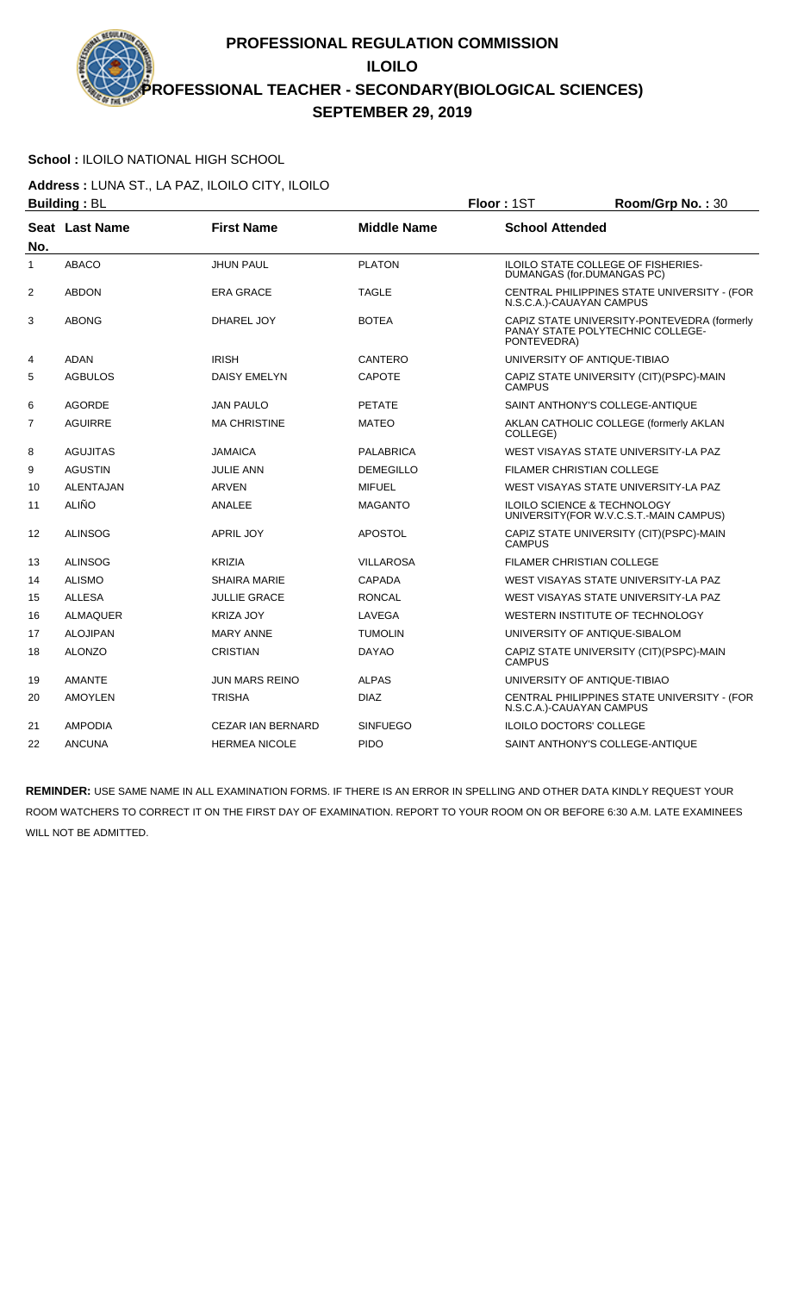#### **School :** ILOILO NATIONAL HIGH SCHOOL

**Address :** LUNA ST., LA PAZ, ILOILO CITY, ILOILO **Building : BL Building : BL Floor : 1ST Room/Grp No. : 30** 

|                | אי יישטיים µ⊔    |                          |                    | ו טיו ישטו<br>1100111101111011100                                                              |
|----------------|------------------|--------------------------|--------------------|------------------------------------------------------------------------------------------------|
| No.            | Seat Last Name   | <b>First Name</b>        | <b>Middle Name</b> | <b>School Attended</b>                                                                         |
| 1              | <b>ABACO</b>     | <b>JHUN PAUL</b>         | <b>PLATON</b>      | ILOILO STATE COLLEGE OF FISHERIES-<br>DUMANGAS (for.DUMANGAS PC)                               |
| 2              | <b>ABDON</b>     | <b>ERA GRACE</b>         | TAGLE              | CENTRAL PHILIPPINES STATE UNIVERSITY - (FOR<br>N.S.C.A.)-CAUAYAN CAMPUS                        |
| 3              | <b>ABONG</b>     | DHAREL JOY               | <b>BOTEA</b>       | CAPIZ STATE UNIVERSITY-PONTEVEDRA (formerly<br>PANAY STATE POLYTECHNIC COLLEGE-<br>PONTEVEDRA) |
| 4              | <b>ADAN</b>      | <b>IRISH</b>             | CANTERO            | UNIVERSITY OF ANTIQUE-TIBIAO                                                                   |
| 5              | <b>AGBULOS</b>   | <b>DAISY EMELYN</b>      | <b>CAPOTE</b>      | CAPIZ STATE UNIVERSITY (CIT) (PSPC)-MAIN<br><b>CAMPUS</b>                                      |
| 6              | <b>AGORDE</b>    | <b>JAN PAULO</b>         | <b>PETATE</b>      | SAINT ANTHONY'S COLLEGE-ANTIQUE                                                                |
| $\overline{7}$ | <b>AGUIRRE</b>   | <b>MA CHRISTINE</b>      | <b>MATEO</b>       | AKLAN CATHOLIC COLLEGE (formerly AKLAN<br>COLLEGE)                                             |
| 8              | <b>AGUJITAS</b>  | <b>JAMAICA</b>           | <b>PALABRICA</b>   | WEST VISAYAS STATE UNIVERSITY-LA PAZ                                                           |
| 9              | <b>AGUSTIN</b>   | <b>JULIE ANN</b>         | <b>DEMEGILLO</b>   | <b>FILAMER CHRISTIAN COLLEGE</b>                                                               |
| 10             | <b>ALENTAJAN</b> | <b>ARVEN</b>             | <b>MIFUEL</b>      | WEST VISAYAS STATE UNIVERSITY-LA PAZ                                                           |
| 11             | <b>ALIÑO</b>     | ANALEE                   | <b>MAGANTO</b>     | <b>ILOILO SCIENCE &amp; TECHNOLOGY</b><br>UNIVERSITY (FOR W.V.C.S.T.-MAIN CAMPUS)              |
| 12             | <b>ALINSOG</b>   | <b>APRIL JOY</b>         | <b>APOSTOL</b>     | CAPIZ STATE UNIVERSITY (CIT)(PSPC)-MAIN<br><b>CAMPUS</b>                                       |
| 13             | <b>ALINSOG</b>   | <b>KRIZIA</b>            | <b>VILLAROSA</b>   | <b>FILAMER CHRISTIAN COLLEGE</b>                                                               |
| 14             | <b>ALISMO</b>    | <b>SHAIRA MARIE</b>      | <b>CAPADA</b>      | WEST VISAYAS STATE UNIVERSITY-LA PAZ                                                           |
| 15             | <b>ALLESA</b>    | <b>JULLIE GRACE</b>      | <b>RONCAL</b>      | WEST VISAYAS STATE UNIVERSITY-LA PAZ                                                           |
| 16             | <b>ALMAQUER</b>  | <b>KRIZA JOY</b>         | LAVEGA             | WESTERN INSTITUTE OF TECHNOLOGY                                                                |
| 17             | <b>ALOJIPAN</b>  | <b>MARY ANNE</b>         | <b>TUMOLIN</b>     | UNIVERSITY OF ANTIQUE-SIBALOM                                                                  |
| 18             | <b>ALONZO</b>    | <b>CRISTIAN</b>          | <b>DAYAO</b>       | CAPIZ STATE UNIVERSITY (CIT)(PSPC)-MAIN<br><b>CAMPUS</b>                                       |
| 19             | <b>AMANTE</b>    | <b>JUN MARS REINO</b>    | <b>ALPAS</b>       | UNIVERSITY OF ANTIQUE-TIBIAO                                                                   |
| 20             | <b>AMOYLEN</b>   | <b>TRISHA</b>            | <b>DIAZ</b>        | CENTRAL PHILIPPINES STATE UNIVERSITY - (FOR<br>N.S.C.A.)-CAUAYAN CAMPUS                        |
| 21             | <b>AMPODIA</b>   | <b>CEZAR IAN BERNARD</b> | <b>SINFUEGO</b>    | <b>ILOILO DOCTORS' COLLEGE</b>                                                                 |
| 22             | <b>ANCUNA</b>    | <b>HERMEA NICOLE</b>     | <b>PIDO</b>        | SAINT ANTHONY'S COLLEGE-ANTIQUE                                                                |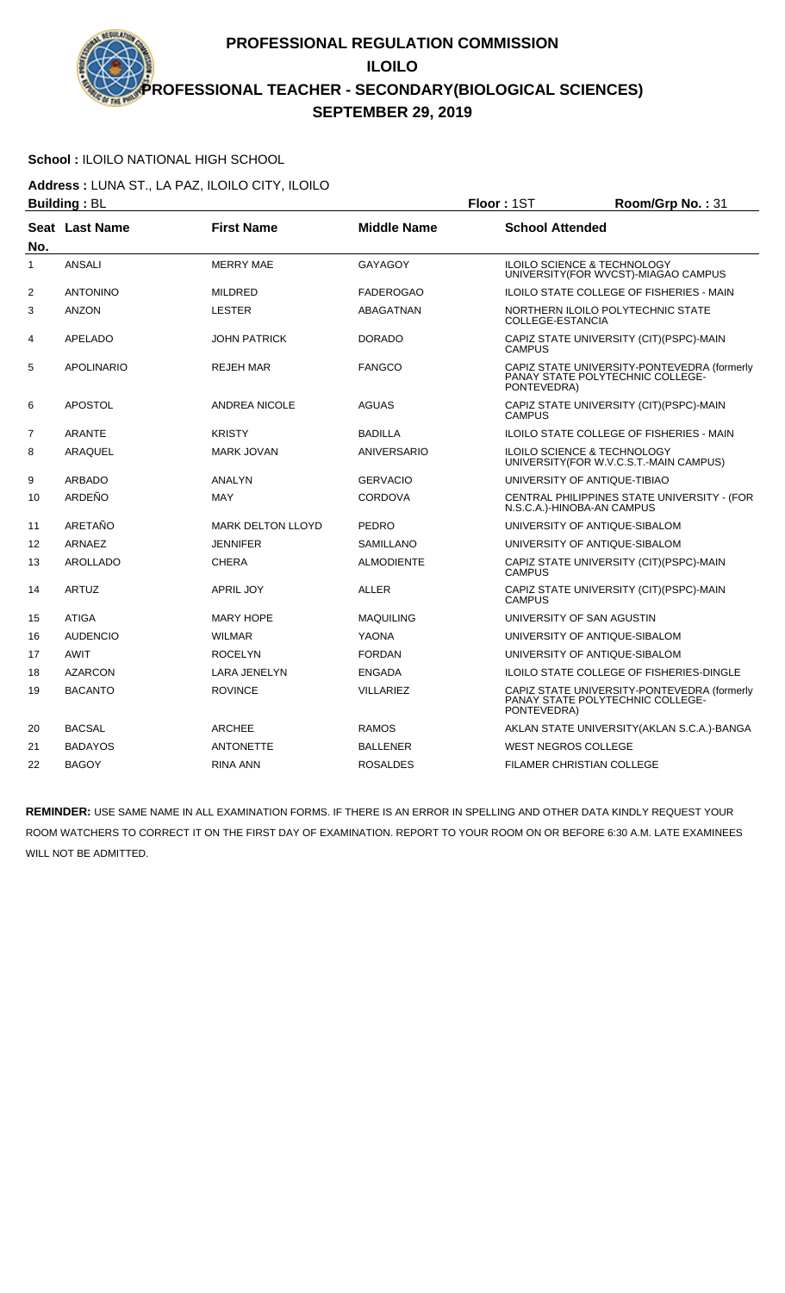# **School :** ILOILO NATIONAL HIGH SCHOOL

**Address :** LUNA ST., LA PAZ, ILOILO CITY, ILOILO **Building :** BL **Floor :** 1ST **Room/Grp No. :** 31

|                | שט . טיוועווע⊔    |                          |                    | . IUU . IUI<br>11001111011011101                                                               |
|----------------|-------------------|--------------------------|--------------------|------------------------------------------------------------------------------------------------|
| No.            | Seat Last Name    | <b>First Name</b>        | <b>Middle Name</b> | <b>School Attended</b>                                                                         |
| 1              | <b>ANSALI</b>     | <b>MERRY MAE</b>         | <b>GAYAGOY</b>     | <b>ILOILO SCIENCE &amp; TECHNOLOGY</b><br>UNIVERSITY(FOR WVCST)-MIAGAO CAMPUS                  |
| $\overline{2}$ | <b>ANTONINO</b>   | <b>MILDRED</b>           | <b>FADEROGAO</b>   | ILOILO STATE COLLEGE OF FISHERIES - MAIN                                                       |
| 3              | <b>ANZON</b>      | <b>LESTER</b>            | ABAGATNAN          | NORTHERN ILOILO POLYTECHNIC STATE<br>COLLEGE-ESTANCIA                                          |
| 4              | APELADO           | JOHN PATRICK             | <b>DORADO</b>      | CAPIZ STATE UNIVERSITY (CIT)(PSPC)-MAIN<br><b>CAMPUS</b>                                       |
| 5              | <b>APOLINARIO</b> | <b>REJEH MAR</b>         | <b>FANGCO</b>      | CAPIZ STATE UNIVERSITY-PONTEVEDRA (formerly<br>PANAY STATE POLYTECHNIC COLLEGE-<br>PONTEVEDRA) |
| 6              | <b>APOSTOL</b>    | <b>ANDREA NICOLE</b>     | <b>AGUAS</b>       | CAPIZ STATE UNIVERSITY (CIT)(PSPC)-MAIN<br><b>CAMPUS</b>                                       |
| $\overline{7}$ | <b>ARANTE</b>     | <b>KRISTY</b>            | <b>BADILLA</b>     | <b>ILOILO STATE COLLEGE OF FISHERIES - MAIN</b>                                                |
| 8              | ARAQUEL           | <b>MARK JOVAN</b>        | ANIVERSARIO        | ILOILO SCIENCE & TECHNOLOGY<br>UNIVERSITY(FOR W.V.C.S.T.-MAIN CAMPUS)                          |
| 9              | <b>ARBADO</b>     | ANALYN                   | <b>GERVACIO</b>    | UNIVERSITY OF ANTIQUE-TIBIAO                                                                   |
| 10             | ARDEÑO            | <b>MAY</b>               | CORDOVA            | CENTRAL PHILIPPINES STATE UNIVERSITY - (FOR<br>N.S.C.A.)-HINOBA-AN CAMPUS                      |
| 11             | ARETAÑO           | <b>MARK DELTON LLOYD</b> | <b>PEDRO</b>       | UNIVERSITY OF ANTIQUE-SIBALOM                                                                  |
| 12             | ARNAEZ            | JENNIFER                 | <b>SAMILLANO</b>   | UNIVERSITY OF ANTIQUE-SIBALOM                                                                  |
| 13             | <b>AROLLADO</b>   | <b>CHERA</b>             | <b>ALMODIENTE</b>  | CAPIZ STATE UNIVERSITY (CIT)(PSPC)-MAIN<br><b>CAMPUS</b>                                       |
| 14             | <b>ARTUZ</b>      | <b>APRIL JOY</b>         | <b>ALLER</b>       | CAPIZ STATE UNIVERSITY (CIT)(PSPC)-MAIN<br><b>CAMPUS</b>                                       |
| 15             | <b>ATIGA</b>      | <b>MARY HOPE</b>         | <b>MAQUILING</b>   | UNIVERSITY OF SAN AGUSTIN                                                                      |
| 16             | <b>AUDENCIO</b>   | <b>WILMAR</b>            | <b>YAONA</b>       | UNIVERSITY OF ANTIQUE-SIBALOM                                                                  |
| 17             | <b>AWIT</b>       | <b>ROCELYN</b>           | <b>FORDAN</b>      | UNIVERSITY OF ANTIQUE-SIBALOM                                                                  |
| 18             | <b>AZARCON</b>    | LARA JENELYN             | <b>ENGADA</b>      | <b>ILOILO STATE COLLEGE OF FISHERIES-DINGLE</b>                                                |
| 19             | <b>BACANTO</b>    | <b>ROVINCE</b>           | <b>VILLARIEZ</b>   | CAPIZ STATE UNIVERSITY-PONTEVEDRA (formerly<br>PANAY STATE POLYTECHNIC COLLEGE-<br>PONTEVEDRA) |
| 20             | <b>BACSAL</b>     | <b>ARCHEE</b>            | <b>RAMOS</b>       | AKLAN STATE UNIVERSITY (AKLAN S.C.A.)-BANGA                                                    |
| 21             | <b>BADAYOS</b>    | <b>ANTONETTE</b>         | <b>BALLENER</b>    | <b>WEST NEGROS COLLEGE</b>                                                                     |
| 22             | <b>BAGOY</b>      | <b>RINA ANN</b>          | <b>ROSALDES</b>    | FILAMER CHRISTIAN COLLEGE                                                                      |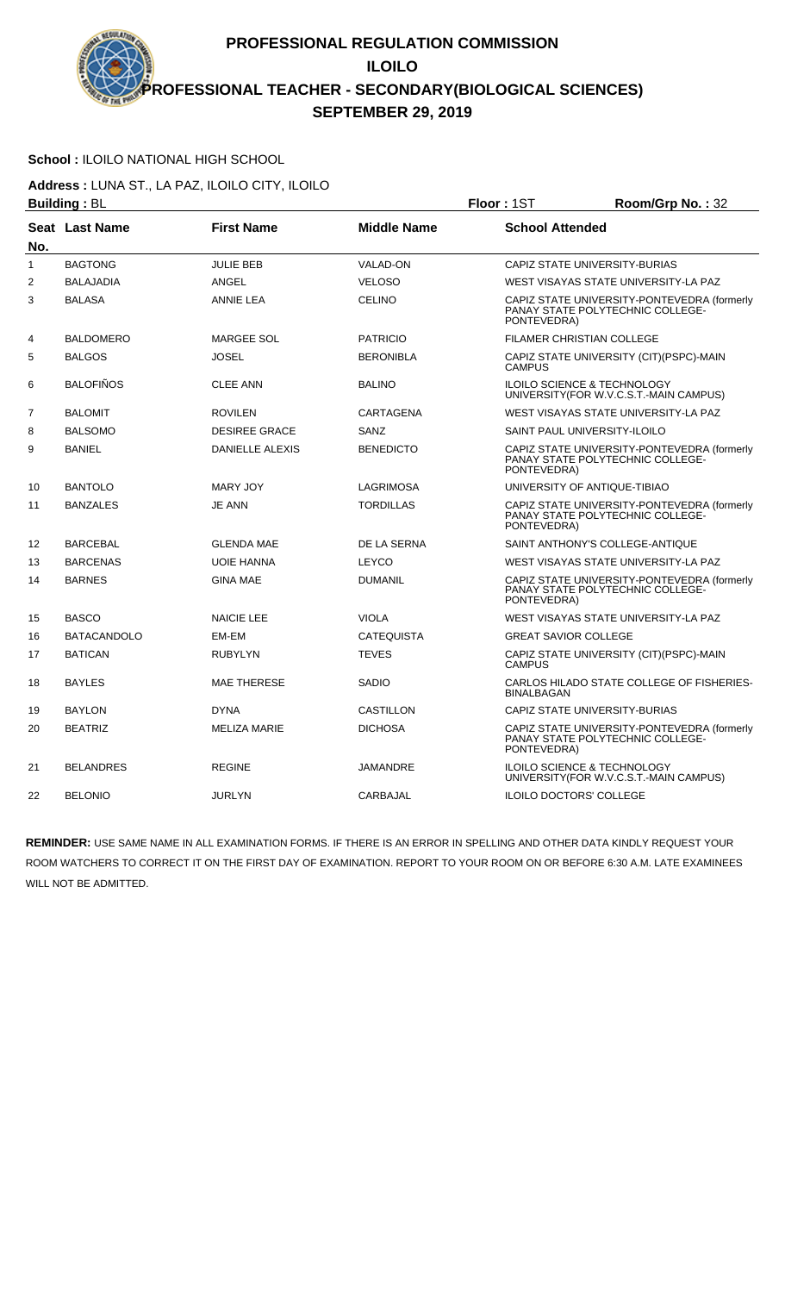# **School :** ILOILO NATIONAL HIGH SCHOOL

**Address :** LUNA ST., LA PAZ, ILOILO CITY, ILOILO **Building :** BL **Floor :** 1ST **Room/Grp No. :** 32

|                | Dununiy . D∟          |                        |                    | ו טטו וועטו<br><b>NUUTHUTHU.</b> JZ                                                            |
|----------------|-----------------------|------------------------|--------------------|------------------------------------------------------------------------------------------------|
| No.            | <b>Seat Last Name</b> | <b>First Name</b>      | <b>Middle Name</b> | <b>School Attended</b>                                                                         |
| $\mathbf{1}$   | <b>BAGTONG</b>        | <b>JULIE BEB</b>       | <b>VALAD-ON</b>    | CAPIZ STATE UNIVERSITY-BURIAS                                                                  |
| 2              | <b>BALAJADIA</b>      | <b>ANGEL</b>           | <b>VELOSO</b>      | WEST VISAYAS STATE UNIVERSITY-LA PAZ                                                           |
| 3              | <b>BALASA</b>         | <b>ANNIE LEA</b>       | <b>CELINO</b>      | CAPIZ STATE UNIVERSITY-PONTEVEDRA (formerly<br>PANAY STATE POLYTECHNIC COLLEGE-<br>PONTEVEDRA) |
| 4              | <b>BALDOMERO</b>      | <b>MARGEE SOL</b>      | <b>PATRICIO</b>    | <b>FILAMER CHRISTIAN COLLEGE</b>                                                               |
| 5              | <b>BALGOS</b>         | <b>JOSEL</b>           | <b>BERONIBLA</b>   | CAPIZ STATE UNIVERSITY (CIT) (PSPC)-MAIN<br><b>CAMPUS</b>                                      |
| 6              | <b>BALOFIÑOS</b>      | <b>CLEE ANN</b>        | <b>BALINO</b>      | ILOILO SCIENCE & TECHNOLOGY<br>UNIVERSITY(FOR W.V.C.S.T.-MAIN CAMPUS)                          |
| $\overline{7}$ | <b>BALOMIT</b>        | <b>ROVILEN</b>         | CARTAGENA          | WEST VISAYAS STATE UNIVERSITY-LA PAZ                                                           |
| 8              | <b>BALSOMO</b>        | <b>DESIREE GRACE</b>   | SANZ               | SAINT PAUL UNIVERSITY-ILOILO                                                                   |
| 9              | <b>BANIEL</b>         | <b>DANIELLE ALEXIS</b> | <b>BENEDICTO</b>   | CAPIZ STATE UNIVERSITY-PONTEVEDRA (formerly<br>PANAY STATE POLYTECHNIC COLLEGE-<br>PONTEVEDRA) |
| 10             | <b>BANTOLO</b>        | MARY JOY               | <b>LAGRIMOSA</b>   | UNIVERSITY OF ANTIQUE-TIBIAO                                                                   |
| 11             | <b>BANZALES</b>       | <b>JE ANN</b>          | <b>TORDILLAS</b>   | CAPIZ STATE UNIVERSITY-PONTEVEDRA (formerly<br>PANAY STATE POLYTECHNIC COLLEGE-<br>PONTEVEDRA) |
| 12             | <b>BARCEBAL</b>       | <b>GLENDA MAE</b>      | DE LA SERNA        | SAINT ANTHONY'S COLLEGE-ANTIQUE                                                                |
| 13             | <b>BARCENAS</b>       | <b>UOIE HANNA</b>      | <b>LEYCO</b>       | WEST VISAYAS STATE UNIVERSITY-LA PAZ                                                           |
| 14             | <b>BARNES</b>         | <b>GINA MAE</b>        | <b>DUMANIL</b>     | CAPIZ STATE UNIVERSITY-PONTEVEDRA (formerly<br>PANAY STATE POLYTECHNIC COLLEGE-<br>PONTEVEDRA) |
| 15             | <b>BASCO</b>          | <b>NAICIE LEE</b>      | <b>VIOLA</b>       | WEST VISAYAS STATE UNIVERSITY-LA PAZ                                                           |
| 16             | <b>BATACANDOLO</b>    | EM-EM                  | <b>CATEQUISTA</b>  | <b>GREAT SAVIOR COLLEGE</b>                                                                    |
| 17             | <b>BATICAN</b>        | <b>RUBYLYN</b>         | <b>TEVES</b>       | CAPIZ STATE UNIVERSITY (CIT)(PSPC)-MAIN<br><b>CAMPUS</b>                                       |
| 18             | <b>BAYLES</b>         | MAE THERESE            | <b>SADIO</b>       | CARLOS HILADO STATE COLLEGE OF FISHERIES-<br><b>BINALBAGAN</b>                                 |
| 19             | <b>BAYLON</b>         | <b>DYNA</b>            | <b>CASTILLON</b>   | CAPIZ STATE UNIVERSITY-BURIAS                                                                  |
| 20             | <b>BEATRIZ</b>        | <b>MELIZA MARIE</b>    | <b>DICHOSA</b>     | CAPIZ STATE UNIVERSITY-PONTEVEDRA (formerly<br>PANAY STATE POLYTECHNIC COLLEGE-<br>PONTEVEDRA) |
| 21             | <b>BELANDRES</b>      | <b>REGINE</b>          | JAMANDRE           | ILOILO SCIENCE & TECHNOLOGY<br>UNIVERSITY(FOR W.V.C.S.T.-MAIN CAMPUS)                          |
| 22             | <b>BELONIO</b>        | <b>JURLYN</b>          | CARBAJAL           | <b>ILOILO DOCTORS' COLLEGE</b>                                                                 |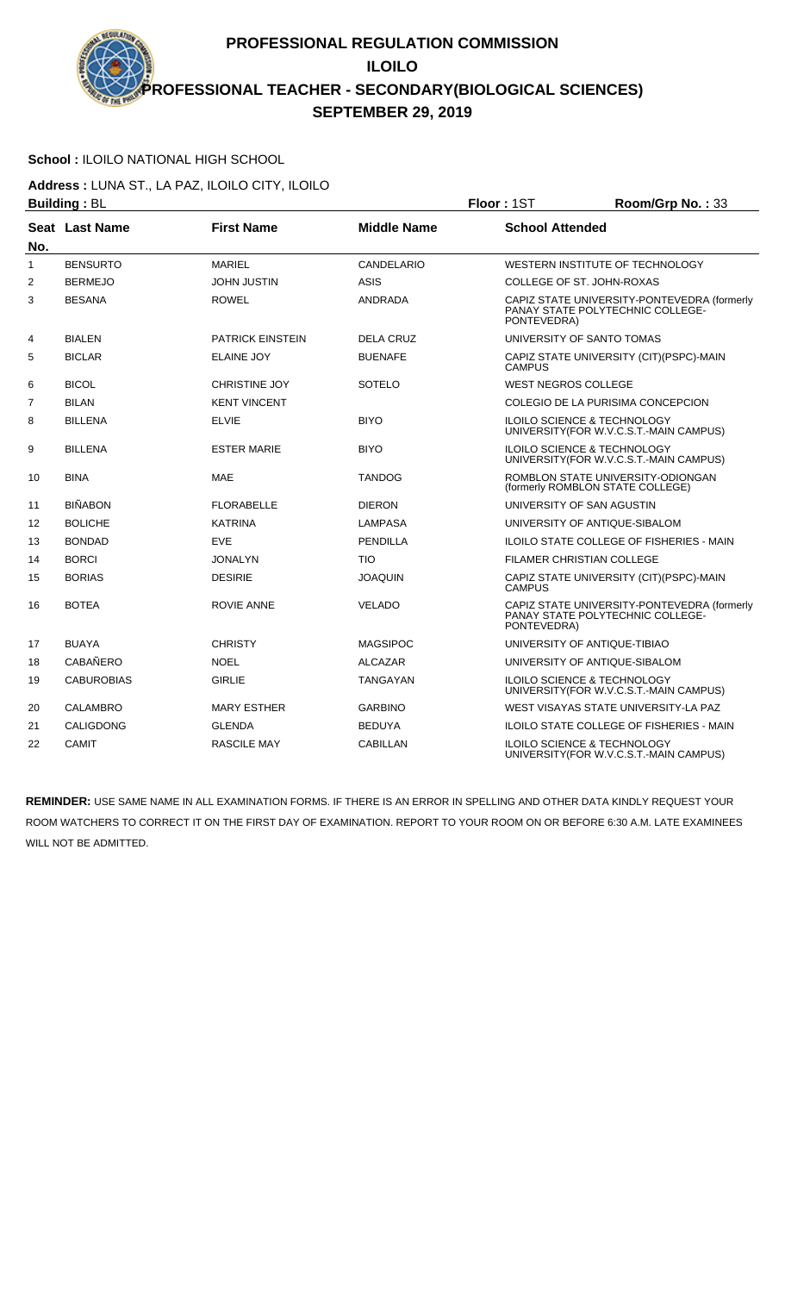# **School :** ILOILO NATIONAL HIGH SCHOOL

**Address :** LUNA ST., LA PAZ, ILOILO CITY, ILOILO

|                | <b>Building: BL</b> |                         |                    | Floor: 1ST                 | Room/Grp No.: 33                                                                  |
|----------------|---------------------|-------------------------|--------------------|----------------------------|-----------------------------------------------------------------------------------|
| No.            | Seat Last Name      | <b>First Name</b>       | <b>Middle Name</b> | <b>School Attended</b>     |                                                                                   |
| $\mathbf{1}$   | <b>BENSURTO</b>     | <b>MARIEL</b>           | CANDELARIO         |                            | WESTERN INSTITUTE OF TECHNOLOGY                                                   |
| $\overline{2}$ | <b>BERMEJO</b>      | <b>JOHN JUSTIN</b>      | <b>ASIS</b>        |                            | COLLEGE OF ST. JOHN-ROXAS                                                         |
| 3              | <b>BESANA</b>       | <b>ROWEL</b>            | ANDRADA            | PONTEVEDRA)                | CAPIZ STATE UNIVERSITY-PONTEVEDRA (formerly<br>PANAY STATE POLYTECHNIC COLLEGE-   |
| 4              | <b>BIALEN</b>       | <b>PATRICK EINSTEIN</b> | <b>DELA CRUZ</b>   |                            | UNIVERSITY OF SANTO TOMAS                                                         |
| 5              | <b>BICLAR</b>       | <b>ELAINE JOY</b>       | <b>BUENAFE</b>     | <b>CAMPUS</b>              | CAPIZ STATE UNIVERSITY (CIT)(PSPC)-MAIN                                           |
| 6              | <b>BICOL</b>        | <b>CHRISTINE JOY</b>    | SOTELO             | <b>WEST NEGROS COLLEGE</b> |                                                                                   |
| $\overline{7}$ | <b>BILAN</b>        | <b>KENT VINCENT</b>     |                    |                            | COLEGIO DE LA PURISIMA CONCEPCION                                                 |
| 8              | <b>BILLENA</b>      | <b>ELVIE</b>            | <b>BIYO</b>        |                            | <b>ILOILO SCIENCE &amp; TECHNOLOGY</b><br>UNIVERSITY (FOR W.V.C.S.T.-MAIN CAMPUS) |
| 9              | <b>BILLENA</b>      | <b>ESTER MARIE</b>      | <b>BIYO</b>        |                            | <b>ILOILO SCIENCE &amp; TECHNOLOGY</b><br>UNIVERSITY (FOR W.V.C.S.T.-MAIN CAMPUS) |
| 10             | <b>BINA</b>         | <b>MAE</b>              | TANDOG             |                            | ROMBLON STATE UNIVERSITY-ODIONGAN<br>(formerly ROMBLON STATE COLLEGE)             |
| 11             | <b>BIÑABON</b>      | <b>FLORABELLE</b>       | <b>DIERON</b>      |                            | UNIVERSITY OF SAN AGUSTIN                                                         |
| 12             | <b>BOLICHE</b>      | <b>KATRINA</b>          | <b>LAMPASA</b>     |                            | UNIVERSITY OF ANTIQUE-SIBALOM                                                     |
| 13             | <b>BONDAD</b>       | <b>EVE</b>              | <b>PENDILLA</b>    |                            | <b>ILOILO STATE COLLEGE OF FISHERIES - MAIN</b>                                   |
| 14             | <b>BORCI</b>        | <b>JONALYN</b>          | <b>TIO</b>         |                            | <b>FILAMER CHRISTIAN COLLEGE</b>                                                  |
| 15             | <b>BORIAS</b>       | <b>DESIRIE</b>          | <b>JOAQUIN</b>     | <b>CAMPUS</b>              | CAPIZ STATE UNIVERSITY (CIT)(PSPC)-MAIN                                           |
| 16             | <b>BOTEA</b>        | <b>ROVIE ANNE</b>       | <b>VELADO</b>      | PONTEVEDRA)                | CAPIZ STATE UNIVERSITY-PONTEVEDRA (formerly<br>PANAY STATE POLYTECHNIC COLLEGE-   |
| 17             | <b>BUAYA</b>        | <b>CHRISTY</b>          | MAGSIPOC           |                            | UNIVERSITY OF ANTIQUE-TIBIAO                                                      |
| 18             | <b>CABAÑERO</b>     | <b>NOEL</b>             | <b>ALCAZAR</b>     |                            | UNIVERSITY OF ANTIQUE-SIBALOM                                                     |
| 19             | <b>CABUROBIAS</b>   | <b>GIRLIE</b>           | TANGAYAN           |                            | ILOILO SCIENCE & TECHNOLOGY<br>UNIVERSITY(FOR W.V.C.S.T.-MAIN CAMPUS)             |
| 20             | <b>CALAMBRO</b>     | <b>MARY ESTHER</b>      | <b>GARBINO</b>     |                            | WEST VISAYAS STATE UNIVERSITY-LA PAZ                                              |
| 21             | CALIGDONG           | <b>GLENDA</b>           | <b>BEDUYA</b>      |                            | <b>ILOILO STATE COLLEGE OF FISHERIES - MAIN</b>                                   |
| 22             | <b>CAMIT</b>        | <b>RASCILE MAY</b>      | CABILLAN           |                            | <b>ILOILO SCIENCE &amp; TECHNOLOGY</b><br>UNIVERSITY (FOR W.V.C.S.T.-MAIN CAMPUS) |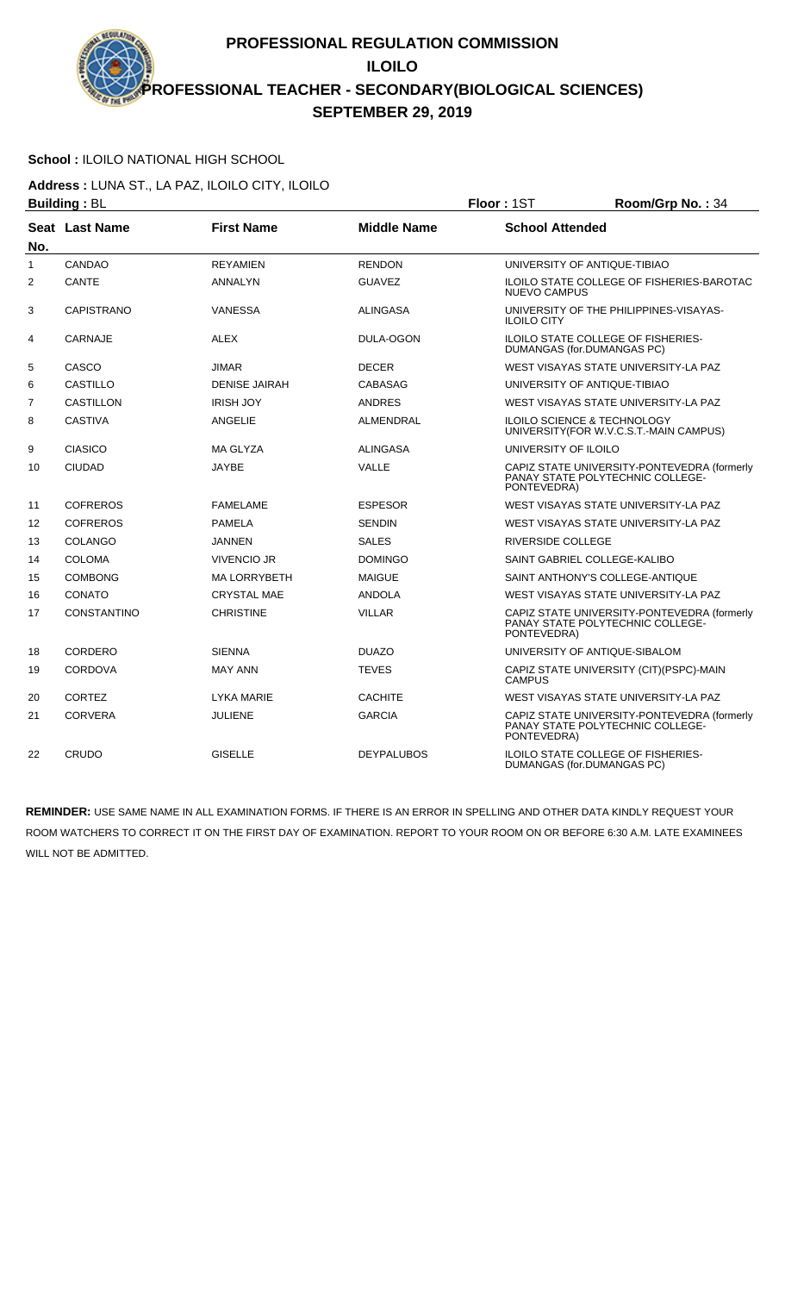# **School :** ILOILO NATIONAL HIGH SCHOOL

**Address :** LUNA ST., LA PAZ, ILOILO CITY, ILOILO **Building : BL Building : BL Floor : 1ST Room/Grp No. : 34** 

|                |                    |                      |                    | .                                                                                              |
|----------------|--------------------|----------------------|--------------------|------------------------------------------------------------------------------------------------|
| No.            | Seat Last Name     | <b>First Name</b>    | <b>Middle Name</b> | <b>School Attended</b>                                                                         |
| $\mathbf{1}$   | CANDAO             | <b>REYAMIEN</b>      | <b>RENDON</b>      | UNIVERSITY OF ANTIQUE-TIBIAO                                                                   |
| 2              | CANTE              | ANNALYN              | <b>GUAVEZ</b>      | <b>ILOILO STATE COLLEGE OF FISHERIES-BAROTAC</b><br><b>NUEVO CAMPUS</b>                        |
| 3              | <b>CAPISTRANO</b>  | <b>VANESSA</b>       | <b>ALINGASA</b>    | UNIVERSITY OF THE PHILIPPINES-VISAYAS-<br><b>ILOILO CITY</b>                                   |
| 4              | <b>CARNAJE</b>     | <b>ALEX</b>          | DULA-OGON          | <b>ILOILO STATE COLLEGE OF FISHERIES-</b><br>DUMANGAS (for.DUMANGAS PC)                        |
| 5              | CASCO              | <b>JIMAR</b>         | <b>DECER</b>       | WEST VISAYAS STATE UNIVERSITY-LA PAZ                                                           |
| 6              | <b>CASTILLO</b>    | <b>DENISE JAIRAH</b> | <b>CABASAG</b>     | UNIVERSITY OF ANTIQUE-TIBIAO                                                                   |
| $\overline{7}$ | <b>CASTILLON</b>   | <b>IRISH JOY</b>     | <b>ANDRES</b>      | WEST VISAYAS STATE UNIVERSITY-LA PAZ                                                           |
| 8              | <b>CASTIVA</b>     | ANGELIE              | ALMENDRAL          | ILOILO SCIENCE & TECHNOLOGY<br>UNIVERSITY (FOR W.V.C.S.T.-MAIN CAMPUS)                         |
| 9              | <b>CIASICO</b>     | MA GLYZA             | <b>ALINGASA</b>    | UNIVERSITY OF ILOILO                                                                           |
| 10             | <b>CIUDAD</b>      | JAYBE                | <b>VALLE</b>       | CAPIZ STATE UNIVERSITY-PONTEVEDRA (formerly<br>PANAY STATE POLYTECHNIC COLLEGE-<br>PONTEVEDRA) |
| 11             | <b>COFREROS</b>    | <b>FAMELAME</b>      | <b>ESPESOR</b>     | WEST VISAYAS STATE UNIVERSITY-LA PAZ                                                           |
| 12             | <b>COFREROS</b>    | <b>PAMELA</b>        | <b>SENDIN</b>      | WEST VISAYAS STATE UNIVERSITY-LA PAZ                                                           |
| 13             | COLANGO            | <b>JANNEN</b>        | <b>SALES</b>       | <b>RIVERSIDE COLLEGE</b>                                                                       |
| 14             | <b>COLOMA</b>      | VIVENCIO JR          | <b>DOMINGO</b>     | SAINT GABRIEL COLLEGE-KALIBO                                                                   |
| 15             | <b>COMBONG</b>     | <b>MA LORRYBETH</b>  | <b>MAIGUE</b>      | SAINT ANTHONY'S COLLEGE-ANTIQUE                                                                |
| 16             | CONATO             | <b>CRYSTAL MAE</b>   | <b>ANDOLA</b>      | WEST VISAYAS STATE UNIVERSITY-LA PAZ                                                           |
| 17             | <b>CONSTANTINO</b> | <b>CHRISTINE</b>     | <b>VILLAR</b>      | CAPIZ STATE UNIVERSITY-PONTEVEDRA (formerly<br>PANAY STATE POLYTECHNIC COLLEGE-<br>PONTEVEDRA) |
| 18             | CORDERO            | <b>SIENNA</b>        | <b>DUAZO</b>       | UNIVERSITY OF ANTIQUE-SIBALOM                                                                  |
| 19             | <b>CORDOVA</b>     | <b>MAY ANN</b>       | <b>TEVES</b>       | CAPIZ STATE UNIVERSITY (CIT)(PSPC)-MAIN<br><b>CAMPUS</b>                                       |
| 20             | <b>CORTEZ</b>      | <b>LYKA MARIE</b>    | <b>CACHITE</b>     | WEST VISAYAS STATE UNIVERSITY-LA PAZ                                                           |
| 21             | <b>CORVERA</b>     | <b>JULIENE</b>       | <b>GARCIA</b>      | CAPIZ STATE UNIVERSITY-PONTEVEDRA (formerly<br>PANAY STATE POLYTECHNIC COLLEGE-<br>PONTEVEDRA) |
| 22             | CRUDO              | <b>GISELLE</b>       | <b>DEYPALUBOS</b>  | ILOILO STATE COLLEGE OF FISHERIES-<br>DUMANGAS (for.DUMANGAS PC)                               |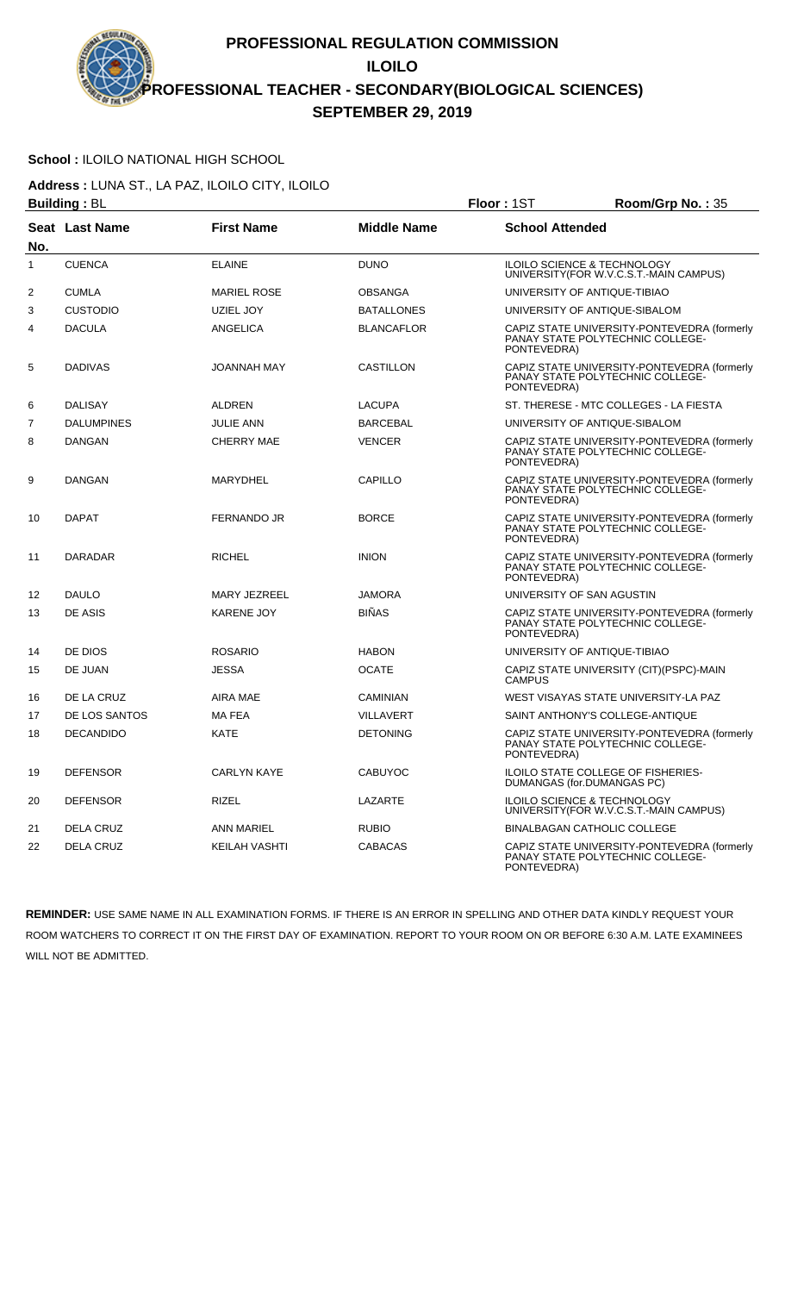# **School :** ILOILO NATIONAL HIGH SCHOOL

**Address :** LUNA ST., LA PAZ, ILOILO CITY, ILOILO

|                | <b>Building: BL</b> |                    |                    | Floor: 1ST             | Room/Grp No.: 35                                                                       |
|----------------|---------------------|--------------------|--------------------|------------------------|----------------------------------------------------------------------------------------|
| No.            | Seat Last Name      | <b>First Name</b>  | <b>Middle Name</b> | <b>School Attended</b> |                                                                                        |
| $\mathbf{1}$   | <b>CUENCA</b>       | <b>ELAINE</b>      | <b>DUNO</b>        |                        | <b>ILOILO SCIENCE &amp; TECHNOLOGY</b><br>UNIVERSITY(FOR W.V.C.S.T.-MAIN CAMPUS)       |
| 2              | <b>CUMLA</b>        | <b>MARIEL ROSE</b> | <b>OBSANGA</b>     |                        | UNIVERSITY OF ANTIQUE-TIBIAO                                                           |
| 3              | <b>CUSTODIO</b>     | UZIEL JOY          | <b>BATALLONES</b>  |                        | UNIVERSITY OF ANTIQUE-SIBALOM                                                          |
| 4              | <b>DACULA</b>       | ANGELICA           | <b>BLANCAFLOR</b>  | PONTEVEDRA)            | CAPIZ STATE UNIVERSITY-PONTEVEDRA (formerly<br>PANAY STATE POLYTECHNIC COLLEGE-        |
| 5              | <b>DADIVAS</b>      | JOANNAH MAY        | CASTILLON          | PONTEVEDRA)            | CAPIZ STATE UNIVERSITY-PONTEVEDRA (formerly<br>PANAY STATE POLYTECHNIC COLLEGE-        |
| 6              | DALISAY             | <b>ALDREN</b>      | LACUPA             |                        | ST. THERESE - MTC COLLEGES - LA FIESTA                                                 |
| $\overline{7}$ | <b>DALUMPINES</b>   | <b>JULIE ANN</b>   | <b>BARCEBAL</b>    |                        | UNIVERSITY OF ANTIQUE-SIBALOM                                                          |
| 8              | <b>DANGAN</b>       | <b>CHERRY MAE</b>  | <b>VENCER</b>      | PONTEVEDRA)            | CAPIZ STATE UNIVERSITY-PONTEVEDRA (formerly<br><b>PANAY STATE POLYTECHNIC COLLEGE-</b> |
| 9              | <b>DANGAN</b>       | <b>MARYDHEL</b>    | CAPILLO            | PONTEVEDRA)            | CAPIZ STATE UNIVERSITY-PONTEVEDRA (formerly<br>PANAY STATE POLYTECHNIC COLLEGE-        |
| 10             | <b>DAPAT</b>        | <b>FERNANDO JR</b> | <b>BORCE</b>       | PONTEVEDRA)            | CAPIZ STATE UNIVERSITY-PONTEVEDRA (formerly<br><b>PANAY STATE POLYTECHNIC COLLEGE-</b> |
| 11             | <b>DARADAR</b>      | <b>RICHEL</b>      | <b>INION</b>       | PONTEVEDRA)            | CAPIZ STATE UNIVERSITY-PONTEVEDRA (formerly<br>PANAY STATE POLYTECHNIC COLLEGE-        |
| 12             | <b>DAULO</b>        | MARY JEZREEL       | <b>JAMORA</b>      |                        | UNIVERSITY OF SAN AGUSTIN                                                              |
| 13             | DE ASIS             | <b>KARENE JOY</b>  | <b>BIÑAS</b>       | PONTEVEDRA)            | CAPIZ STATE UNIVERSITY-PONTEVEDRA (formerly<br>PANAY STATE POLYTECHNIC COLLEGE-        |
| 14             | DE DIOS             | <b>ROSARIO</b>     | <b>HABON</b>       |                        | UNIVERSITY OF ANTIQUE-TIBIAO                                                           |
| 15             | DE JUAN             | <b>JESSA</b>       | <b>OCATE</b>       | <b>CAMPUS</b>          | CAPIZ STATE UNIVERSITY (CIT)(PSPC)-MAIN                                                |
| 16             | DE LA CRUZ          | AIRA MAE           | <b>CAMINIAN</b>    |                        | WEST VISAYAS STATE UNIVERSITY-LA PAZ                                                   |
| 17             | DE LOS SANTOS       | <b>MA FEA</b>      | <b>VILLAVERT</b>   |                        | SAINT ANTHONY'S COLLEGE-ANTIQUE                                                        |
| 18             | <b>DECANDIDO</b>    | KATE               | <b>DETONING</b>    | PONTEVEDRA)            | CAPIZ STATE UNIVERSITY-PONTEVEDRA (formerly<br>PANAY STATE POLYTECHNIC COLLEGE-        |
| 19             | <b>DEFENSOR</b>     | <b>CARLYN KAYE</b> | <b>CABUYOC</b>     |                        | ILOILO STATE COLLEGE OF FISHERIES-<br>DUMANGAS (for.DUMANGAS PC)                       |
| 20             | <b>DEFENSOR</b>     | <b>RIZEL</b>       | <b>LAZARTE</b>     |                        | <b>ILOILO SCIENCE &amp; TECHNOLOGY</b><br>UNIVERSITY (FOR W.V.C.S.T.-MAIN CAMPUS)      |
| 21             | DELA CRUZ           | ANN MARIEL         | <b>RUBIO</b>       |                        | BINALBAGAN CATHOLIC COLLEGE                                                            |
| 22             | <b>DELA CRUZ</b>    | KEILAH VASHTI      | <b>CABACAS</b>     | PONTEVEDRA)            | CAPIZ STATE UNIVERSITY-PONTEVEDRA (formerly<br>PANAY STATE POLYTECHNIC COLLEGE-        |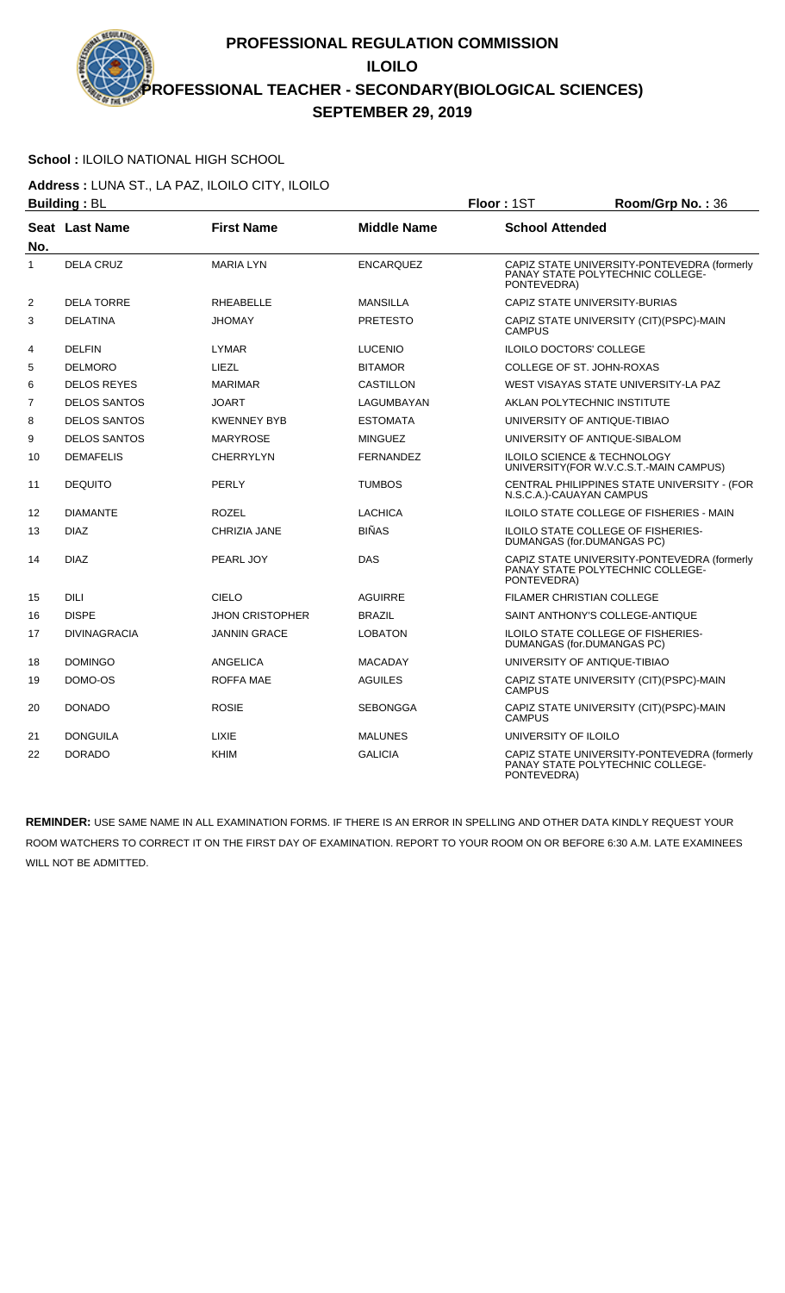## **School :** ILOILO NATIONAL HIGH SCHOOL

**Address :** LUNA ST., LA PAZ, ILOILO CITY, ILOILO **Building : BL Building : BL Floor : 1ST Room/Grp No. : 36** 

|                | Pananng . DL          |                        |                    | .                                                                                              |
|----------------|-----------------------|------------------------|--------------------|------------------------------------------------------------------------------------------------|
| No.            | <b>Seat Last Name</b> | <b>First Name</b>      | <b>Middle Name</b> | <b>School Attended</b>                                                                         |
| 1              | <b>DELA CRUZ</b>      | <b>MARIA LYN</b>       | <b>ENCARQUEZ</b>   | CAPIZ STATE UNIVERSITY-PONTEVEDRA (formerly<br>PANAY STATE POLYTECHNIC COLLEGE-<br>PONTEVEDRA) |
| 2              | <b>DELA TORRE</b>     | <b>RHEABELLE</b>       | <b>MANSILLA</b>    | CAPIZ STATE UNIVERSITY-BURIAS                                                                  |
| 3              | <b>DELATINA</b>       | <b>JHOMAY</b>          | <b>PRETESTO</b>    | CAPIZ STATE UNIVERSITY (CIT)(PSPC)-MAIN<br><b>CAMPUS</b>                                       |
| $\overline{4}$ | <b>DELFIN</b>         | <b>LYMAR</b>           | <b>LUCENIO</b>     | <b>ILOILO DOCTORS' COLLEGE</b>                                                                 |
| 5              | <b>DELMORO</b>        | LIEZL                  | <b>BITAMOR</b>     | COLLEGE OF ST. JOHN-ROXAS                                                                      |
| 6              | <b>DELOS REYES</b>    | <b>MARIMAR</b>         | <b>CASTILLON</b>   | WEST VISAYAS STATE UNIVERSITY-LA PAZ                                                           |
| 7              | <b>DELOS SANTOS</b>   | <b>JOART</b>           | LAGUMBAYAN         | AKLAN POLYTECHNIC INSTITUTE                                                                    |
| 8              | <b>DELOS SANTOS</b>   | <b>KWENNEY BYB</b>     | <b>ESTOMATA</b>    | UNIVERSITY OF ANTIQUE-TIBIAO                                                                   |
| 9              | <b>DELOS SANTOS</b>   | <b>MARYROSE</b>        | <b>MINGUEZ</b>     | UNIVERSITY OF ANTIQUE-SIBALOM                                                                  |
| 10             | <b>DEMAFELIS</b>      | <b>CHERRYLYN</b>       | <b>FERNANDEZ</b>   | <b>ILOILO SCIENCE &amp; TECHNOLOGY</b><br>UNIVERSITY(FOR W.V.C.S.T.-MAIN CAMPUS)               |
| 11             | <b>DEQUITO</b>        | PERLY                  | <b>TUMBOS</b>      | CENTRAL PHILIPPINES STATE UNIVERSITY - (FOR<br>N.S.C.A.)-CAUAYAN CAMPUS                        |
| 12             | <b>DIAMANTE</b>       | <b>ROZEL</b>           | <b>LACHICA</b>     | <b>ILOILO STATE COLLEGE OF FISHERIES - MAIN</b>                                                |
| 13             | <b>DIAZ</b>           | CHRIZIA JANE           | <b>BIÑAS</b>       | ILOILO STATE COLLEGE OF FISHERIES-<br>DUMANGAS (for.DUMANGAS PC)                               |
| 14             | <b>DIAZ</b>           | PEARL JOY              | DAS                | CAPIZ STATE UNIVERSITY-PONTEVEDRA (formerly<br>PANAY STATE POLYTECHNIC COLLEGE-<br>PONTEVEDRA) |
| 15             | <b>DILI</b>           | CIELO                  | <b>AGUIRRE</b>     | <b>FILAMER CHRISTIAN COLLEGE</b>                                                               |
| 16             | <b>DISPE</b>          | <b>JHON CRISTOPHER</b> | <b>BRAZIL</b>      | SAINT ANTHONY'S COLLEGE-ANTIQUE                                                                |
| 17             | <b>DIVINAGRACIA</b>   | <b>JANNIN GRACE</b>    | <b>LOBATON</b>     | <b>ILOILO STATE COLLEGE OF FISHERIES-</b><br>DUMANGAS (for.DUMANGAS PC)                        |
| 18             | <b>DOMINGO</b>        | ANGELICA               | <b>MACADAY</b>     | UNIVERSITY OF ANTIQUE-TIBIAO                                                                   |
| 19             | DOMO-OS               | <b>ROFFA MAE</b>       | <b>AGUILES</b>     | CAPIZ STATE UNIVERSITY (CIT)(PSPC)-MAIN<br><b>CAMPUS</b>                                       |
| 20             | <b>DONADO</b>         | <b>ROSIE</b>           | <b>SEBONGGA</b>    | CAPIZ STATE UNIVERSITY (CIT)(PSPC)-MAIN<br><b>CAMPUS</b>                                       |
| 21             | DONGUILA              | <b>LIXIE</b>           | <b>MALUNES</b>     | UNIVERSITY OF ILOILO                                                                           |
| 22             | <b>DORADO</b>         | <b>KHIM</b>            | <b>GALICIA</b>     | CAPIZ STATE UNIVERSITY-PONTEVEDRA (formerly<br>PANAY STATE POLYTECHNIC COLLEGE-<br>PONTEVEDRA) |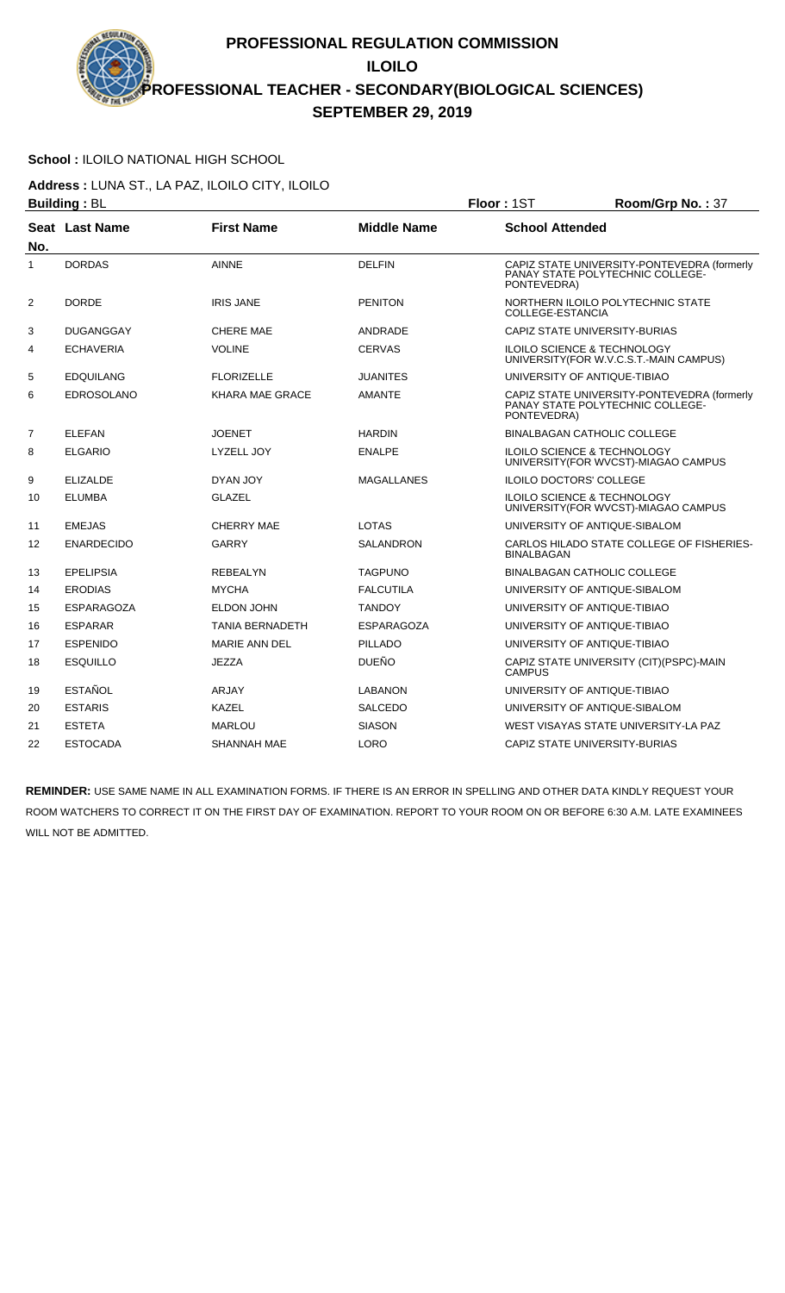## **School :** ILOILO NATIONAL HIGH SCHOOL

**Address :** LUNA ST., LA PAZ, ILOILO CITY, ILOILO **Building :** BL **Floor :** 1ST **Room/Grp No. :** 37

|                   | שט <sub>∙</sub> טעוועווע |                        |                    | ו טיו וי                                                                                       |
|-------------------|--------------------------|------------------------|--------------------|------------------------------------------------------------------------------------------------|
| No.               | Seat Last Name           | <b>First Name</b>      | <b>Middle Name</b> | <b>School Attended</b>                                                                         |
| 1                 | <b>DORDAS</b>            | <b>AINNE</b>           | <b>DELFIN</b>      | CAPIZ STATE UNIVERSITY-PONTEVEDRA (formerly<br>PANAY STATE POLYTECHNIC COLLEGE-<br>PONTEVEDRA) |
| 2                 | <b>DORDE</b>             | <b>IRIS JANE</b>       | <b>PENITON</b>     | NORTHERN ILOILO POLYTECHNIC STATE<br>COLLEGE-ESTANCIA                                          |
| 3                 | <b>DUGANGGAY</b>         | <b>CHERE MAE</b>       | ANDRADE            | CAPIZ STATE UNIVERSITY-BURIAS                                                                  |
| 4                 | <b>ECHAVERIA</b>         | <b>VOLINE</b>          | <b>CERVAS</b>      | <b>ILOILO SCIENCE &amp; TECHNOLOGY</b><br>UNIVERSITY (FOR W.V.C.S.T.-MAIN CAMPUS)              |
| 5                 | <b>EDQUILANG</b>         | <b>FLORIZELLE</b>      | JUANITES           | UNIVERSITY OF ANTIQUE-TIBIAO                                                                   |
| 6                 | <b>EDROSOLANO</b>        | KHARA MAE GRACE        | <b>AMANTE</b>      | CAPIZ STATE UNIVERSITY-PONTEVEDRA (formerly<br>PANAY STATE POLYTECHNIC COLLEGE-<br>PONTEVEDRA) |
| $\overline{7}$    | <b>ELEFAN</b>            | <b>JOENET</b>          | <b>HARDIN</b>      | <b>BINALBAGAN CATHOLIC COLLEGE</b>                                                             |
| 8                 | <b>ELGARIO</b>           | LYZELL JOY             | <b>ENALPE</b>      | <b>ILOILO SCIENCE &amp; TECHNOLOGY</b><br>UNIVERSITY (FOR WVCST)-MIAGAO CAMPUS                 |
| 9                 | <b>ELIZALDE</b>          | DYAN JOY               | MAGALLANES         | <b>ILOILO DOCTORS' COLLEGE</b>                                                                 |
| 10                | <b>ELUMBA</b>            | <b>GLAZEL</b>          |                    | ILOILO SCIENCE & TECHNOLOGY<br>UNIVERSITY (FOR WVCST)-MIAGAO CAMPUS                            |
| 11                | <b>EMEJAS</b>            | <b>CHERRY MAE</b>      | <b>LOTAS</b>       | UNIVERSITY OF ANTIQUE-SIBALOM                                                                  |
| $12 \overline{ }$ | <b>ENARDECIDO</b>        | GARRY                  | <b>SALANDRON</b>   | CARLOS HILADO STATE COLLEGE OF FISHERIES-<br><b>BINALBAGAN</b>                                 |
| 13                | <b>EPELIPSIA</b>         | <b>REBEALYN</b>        | <b>TAGPUNO</b>     | <b>BINALBAGAN CATHOLIC COLLEGE</b>                                                             |
| 14                | <b>ERODIAS</b>           | <b>MYCHA</b>           | <b>FALCUTILA</b>   | UNIVERSITY OF ANTIQUE-SIBALOM                                                                  |
| 15                | <b>ESPARAGOZA</b>        | <b>ELDON JOHN</b>      | <b>TANDOY</b>      | UNIVERSITY OF ANTIQUE-TIBIAO                                                                   |
| 16                | <b>ESPARAR</b>           | <b>TANIA BERNADETH</b> | ESPARAGOZA         | UNIVERSITY OF ANTIQUE-TIBIAO                                                                   |
| 17                | <b>ESPENIDO</b>          | <b>MARIE ANN DEL</b>   | <b>PILLADO</b>     | UNIVERSITY OF ANTIQUE-TIBIAO                                                                   |
| 18                | <b>ESQUILLO</b>          | <b>JEZZA</b>           | <b>DUEÑO</b>       | CAPIZ STATE UNIVERSITY (CIT) (PSPC)-MAIN<br><b>CAMPUS</b>                                      |
| 19                | <b>ESTAÑOL</b>           | <b>ARJAY</b>           | LABANON            | UNIVERSITY OF ANTIQUE-TIBIAO                                                                   |
| 20                | <b>ESTARIS</b>           | KAZEL                  | SALCEDO            | UNIVERSITY OF ANTIQUE-SIBALOM                                                                  |
| 21                | <b>ESTETA</b>            | <b>MARLOU</b>          | <b>SIASON</b>      | WEST VISAYAS STATE UNIVERSITY-LA PAZ                                                           |
| 22                | <b>ESTOCADA</b>          | SHANNAH MAE            | <b>LORO</b>        | CAPIZ STATE UNIVERSITY-BURIAS                                                                  |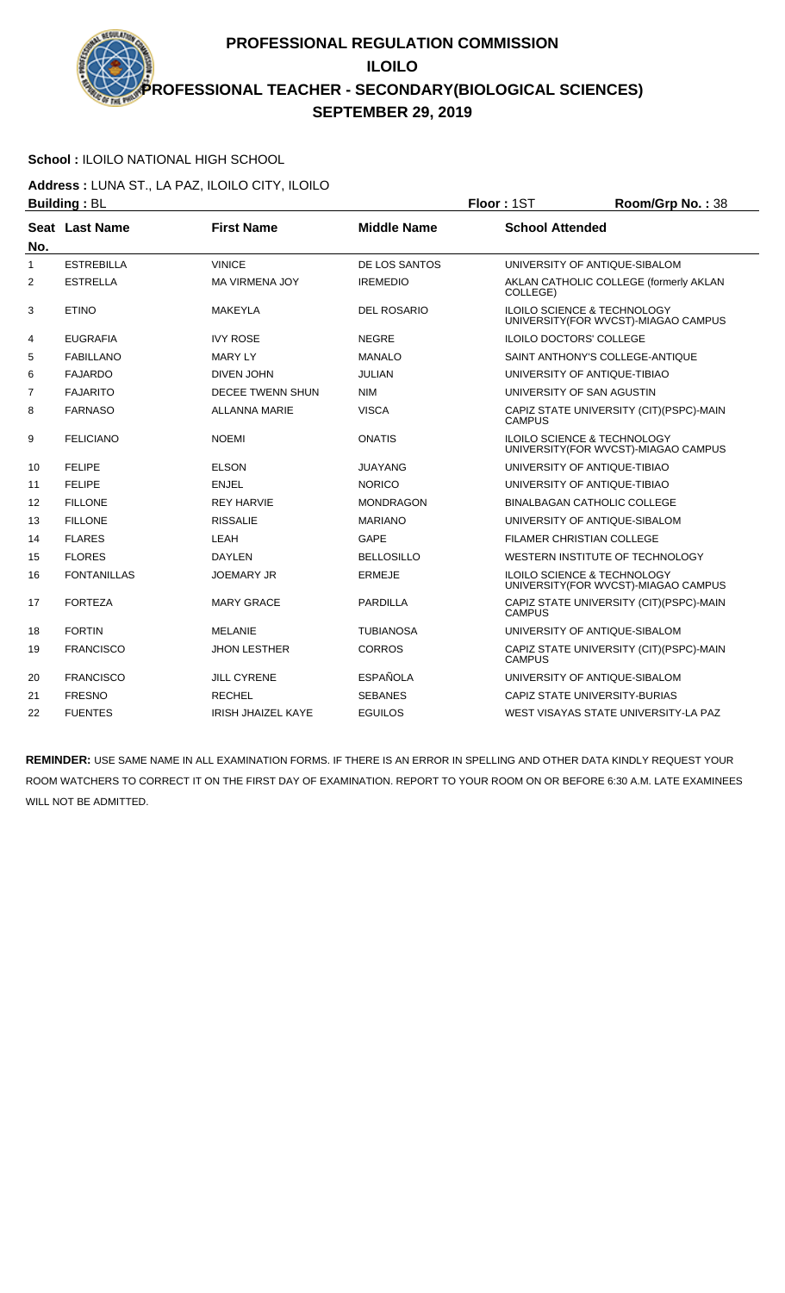# **School :** ILOILO NATIONAL HIGH SCHOOL

**Address :** LUNA ST., LA PAZ, ILOILO CITY, ILOILO **Building : BL Building : BL Floor : 1ST Room/Grp No. : 38** 

|                | Pananig . DL       |                           |                    | .                                                                              |
|----------------|--------------------|---------------------------|--------------------|--------------------------------------------------------------------------------|
| No.            | Seat Last Name     | <b>First Name</b>         | <b>Middle Name</b> | <b>School Attended</b>                                                         |
| 1              | <b>ESTREBILLA</b>  | <b>VINICE</b>             | DE LOS SANTOS      | UNIVERSITY OF ANTIQUE-SIBALOM                                                  |
| 2              | <b>ESTRELLA</b>    | <b>MA VIRMENA JOY</b>     | <b>IREMEDIO</b>    | AKLAN CATHOLIC COLLEGE (formerly AKLAN<br>COLLEGE)                             |
| 3              | <b>ETINO</b>       | <b>MAKEYLA</b>            | <b>DEL ROSARIO</b> | ILOILO SCIENCE & TECHNOLOGY<br>UNIVERSITY (FOR WVCST)-MIAGAO CAMPUS            |
| 4              | <b>EUGRAFIA</b>    | <b>IVY ROSE</b>           | <b>NEGRE</b>       | <b>ILOILO DOCTORS' COLLEGE</b>                                                 |
| 5              | <b>FABILLANO</b>   | <b>MARY LY</b>            | <b>MANALO</b>      | SAINT ANTHONY'S COLLEGE-ANTIQUE                                                |
| 6              | <b>FAJARDO</b>     | <b>DIVEN JOHN</b>         | <b>JULIAN</b>      | UNIVERSITY OF ANTIQUE-TIBIAO                                                   |
| $\overline{7}$ | <b>FAJARITO</b>    | <b>DECEE TWENN SHUN</b>   | <b>NIM</b>         | UNIVERSITY OF SAN AGUSTIN                                                      |
| 8              | <b>FARNASO</b>     | <b>ALLANNA MARIE</b>      | <b>VISCA</b>       | CAPIZ STATE UNIVERSITY (CIT)(PSPC)-MAIN<br><b>CAMPUS</b>                       |
| 9              | <b>FELICIANO</b>   | <b>NOEMI</b>              | <b>ONATIS</b>      | <b>ILOILO SCIENCE &amp; TECHNOLOGY</b><br>UNIVERSITY (FOR WVCST)-MIAGAO CAMPUS |
| 10             | <b>FELIPE</b>      | <b>ELSON</b>              | JUAYANG            | UNIVERSITY OF ANTIQUE-TIBIAO                                                   |
| 11             | <b>FELIPE</b>      | <b>ENJEL</b>              | <b>NORICO</b>      | UNIVERSITY OF ANTIQUE-TIBIAO                                                   |
| 12             | <b>FILLONE</b>     | <b>REY HARVIE</b>         | <b>MONDRAGON</b>   | <b>BINALBAGAN CATHOLIC COLLEGE</b>                                             |
| 13             | <b>FILLONE</b>     | <b>RISSALIE</b>           | <b>MARIANO</b>     | UNIVERSITY OF ANTIQUE-SIBALOM                                                  |
| 14             | <b>FLARES</b>      | LEAH                      | <b>GAPE</b>        | FILAMER CHRISTIAN COLLEGE                                                      |
| 15             | <b>FLORES</b>      | <b>DAYLEN</b>             | <b>BELLOSILLO</b>  | WESTERN INSTITUTE OF TECHNOLOGY                                                |
| 16             | <b>FONTANILLAS</b> | <b>JOEMARY JR</b>         | <b>ERMEJE</b>      | ILOILO SCIENCE & TECHNOLOGY<br>UNIVERSITY(FOR WVCST)-MIAGAO CAMPUS             |
| 17             | <b>FORTEZA</b>     | <b>MARY GRACE</b>         | <b>PARDILLA</b>    | CAPIZ STATE UNIVERSITY (CIT)(PSPC)-MAIN<br><b>CAMPUS</b>                       |
| 18             | <b>FORTIN</b>      | <b>MELANIE</b>            | <b>TUBIANOSA</b>   | UNIVERSITY OF ANTIQUE-SIBALOM                                                  |
| 19             | <b>FRANCISCO</b>   | <b>JHON LESTHER</b>       | <b>CORROS</b>      | CAPIZ STATE UNIVERSITY (CIT)(PSPC)-MAIN<br><b>CAMPUS</b>                       |
| 20             | <b>FRANCISCO</b>   | <b>JILL CYRENE</b>        | <b>ESPAÑOLA</b>    | UNIVERSITY OF ANTIQUE-SIBALOM                                                  |
| 21             | <b>FRESNO</b>      | <b>RECHEL</b>             | <b>SEBANES</b>     | CAPIZ STATE UNIVERSITY-BURIAS                                                  |
| 22             | <b>FUENTES</b>     | <b>IRISH JHAIZEL KAYE</b> | <b>EGUILOS</b>     | WEST VISAYAS STATE UNIVERSITY-LA PAZ                                           |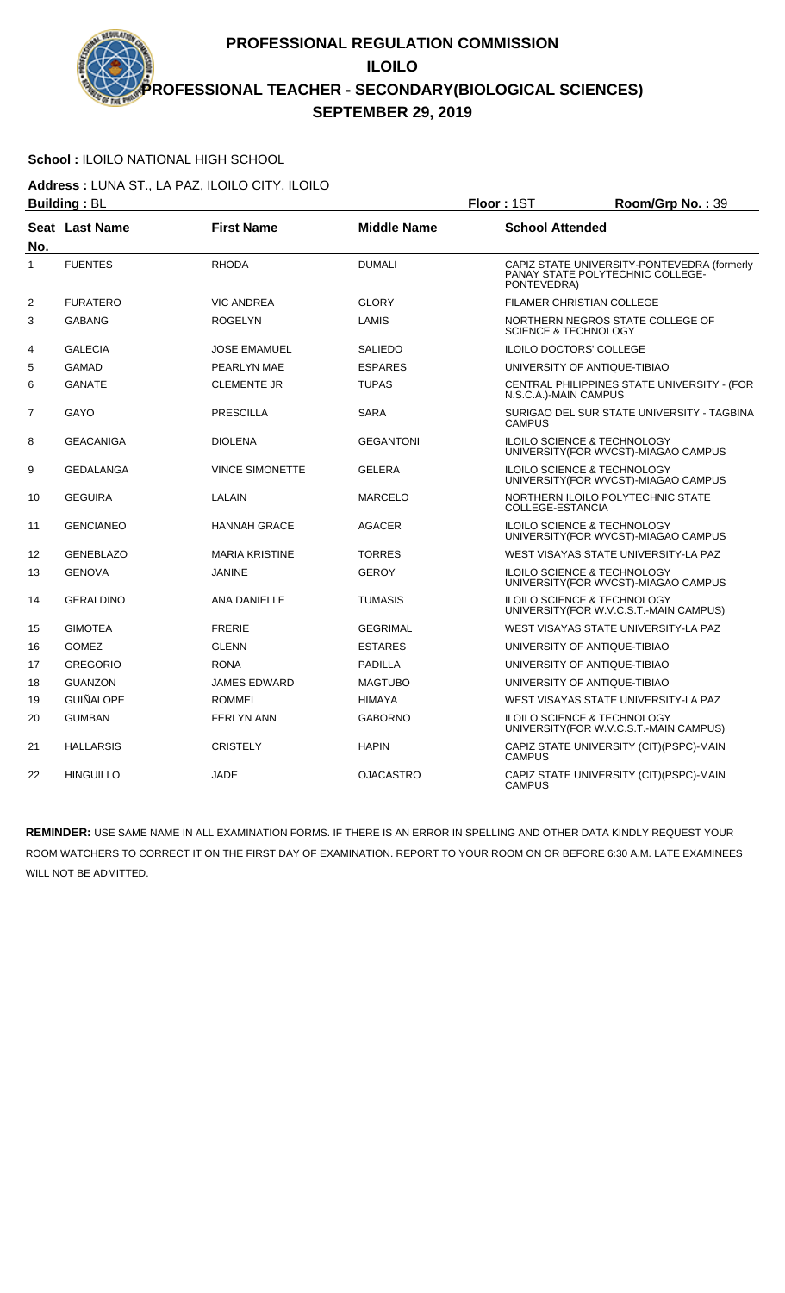#### **School :** ILOILO NATIONAL HIGH SCHOOL

**Address :** LUNA ST., LA PAZ, ILOILO CITY, ILOILO **Building : BL Building : BL Floor : 1ST Room/Grp No. : 39** 

|                | ייש . טערייט     |                        |                    | ו טיו וי<br>11001111011110111001                                                               |
|----------------|------------------|------------------------|--------------------|------------------------------------------------------------------------------------------------|
| No.            | Seat Last Name   | <b>First Name</b>      | <b>Middle Name</b> | <b>School Attended</b>                                                                         |
| 1              | <b>FUENTES</b>   | <b>RHODA</b>           | <b>DUMALI</b>      | CAPIZ STATE UNIVERSITY-PONTEVEDRA (formerly<br>PANAY STATE POLYTECHNIC COLLEGE-<br>PONTEVEDRA) |
| $\overline{2}$ | <b>FURATERO</b>  | <b>VIC ANDREA</b>      | <b>GLORY</b>       | FILAMER CHRISTIAN COLLEGE                                                                      |
| 3              | <b>GABANG</b>    | <b>ROGELYN</b>         | LAMIS              | NORTHERN NEGROS STATE COLLEGE OF<br><b>SCIENCE &amp; TECHNOLOGY</b>                            |
| 4              | <b>GALECIA</b>   | <b>JOSE EMAMUEL</b>    | <b>SALIEDO</b>     | <b>ILOILO DOCTORS' COLLEGE</b>                                                                 |
| 5              | <b>GAMAD</b>     | PEARLYN MAE            | <b>ESPARES</b>     | UNIVERSITY OF ANTIQUE-TIBIAO                                                                   |
| 6              | <b>GANATE</b>    | <b>CLEMENTE JR</b>     | <b>TUPAS</b>       | CENTRAL PHILIPPINES STATE UNIVERSITY - (FOR<br>N.S.C.A.)-MAIN CAMPUS                           |
| $\overline{7}$ | GAYO             | <b>PRESCILLA</b>       | <b>SARA</b>        | SURIGAO DEL SUR STATE UNIVERSITY - TAGBINA<br><b>CAMPUS</b>                                    |
| 8              | <b>GEACANIGA</b> | <b>DIOLENA</b>         | <b>GEGANTONI</b>   | <b>ILOILO SCIENCE &amp; TECHNOLOGY</b><br>UNIVERSITY (FOR WVCST)-MIAGAO CAMPUS                 |
| 9              | <b>GEDALANGA</b> | <b>VINCE SIMONETTE</b> | <b>GELERA</b>      | <b>ILOILO SCIENCE &amp; TECHNOLOGY</b><br>UNIVERSITY (FOR WVCST)-MIAGAO CAMPUS                 |
| 10             | <b>GEGUIRA</b>   | LALAIN                 | <b>MARCELO</b>     | NORTHERN ILOILO POLYTECHNIC STATE<br>COLLEGE-ESTANCIA                                          |
| 11             | <b>GENCIANEO</b> | <b>HANNAH GRACE</b>    | <b>AGACER</b>      | <b>ILOILO SCIENCE &amp; TECHNOLOGY</b><br>UNIVERSITY (FOR WVCST)-MIAGAO CAMPUS                 |
| 12             | <b>GENEBLAZO</b> | <b>MARIA KRISTINE</b>  | <b>TORRES</b>      | WEST VISAYAS STATE UNIVERSITY-LA PAZ                                                           |
| 13             | <b>GENOVA</b>    | <b>JANINE</b>          | GEROY              | ILOILO SCIENCE & TECHNOLOGY<br>UNIVERSITY(FOR WVCST)-MIAGAO CAMPUS                             |
| 14             | <b>GERALDINO</b> | <b>ANA DANIELLE</b>    | TUMASIS            | <b>ILOILO SCIENCE &amp; TECHNOLOGY</b><br>UNIVERSITY(FOR W.V.C.S.T.-MAIN CAMPUS)               |
| 15             | <b>GIMOTEA</b>   | <b>FRERIE</b>          | <b>GEGRIMAL</b>    | WEST VISAYAS STATE UNIVERSITY-LA PAZ                                                           |
| 16             | <b>GOMEZ</b>     | <b>GLENN</b>           | <b>ESTARES</b>     | UNIVERSITY OF ANTIQUE-TIBIAO                                                                   |
| 17             | <b>GREGORIO</b>  | <b>RONA</b>            | <b>PADILLA</b>     | UNIVERSITY OF ANTIQUE-TIBIAO                                                                   |
| 18             | <b>GUANZON</b>   | <b>JAMES EDWARD</b>    | <b>MAGTUBO</b>     | UNIVERSITY OF ANTIQUE-TIBIAO                                                                   |
| 19             | <b>GUIÑALOPE</b> | <b>ROMMEL</b>          | HIMAYA             | WEST VISAYAS STATE UNIVERSITY-LA PAZ                                                           |
| 20             | <b>GUMBAN</b>    | <b>FERLYN ANN</b>      | <b>GABORNO</b>     | <b>ILOILO SCIENCE &amp; TECHNOLOGY</b><br>UNIVERSITY (FOR W.V.C.S.T.-MAIN CAMPUS)              |
| 21             | <b>HALLARSIS</b> | <b>CRISTELY</b>        | <b>HAPIN</b>       | CAPIZ STATE UNIVERSITY (CIT)(PSPC)-MAIN<br><b>CAMPUS</b>                                       |
| 22             | <b>HINGUILLO</b> | <b>JADE</b>            | OJACASTRO          | CAPIZ STATE UNIVERSITY (CIT)(PSPC)-MAIN<br><b>CAMPUS</b>                                       |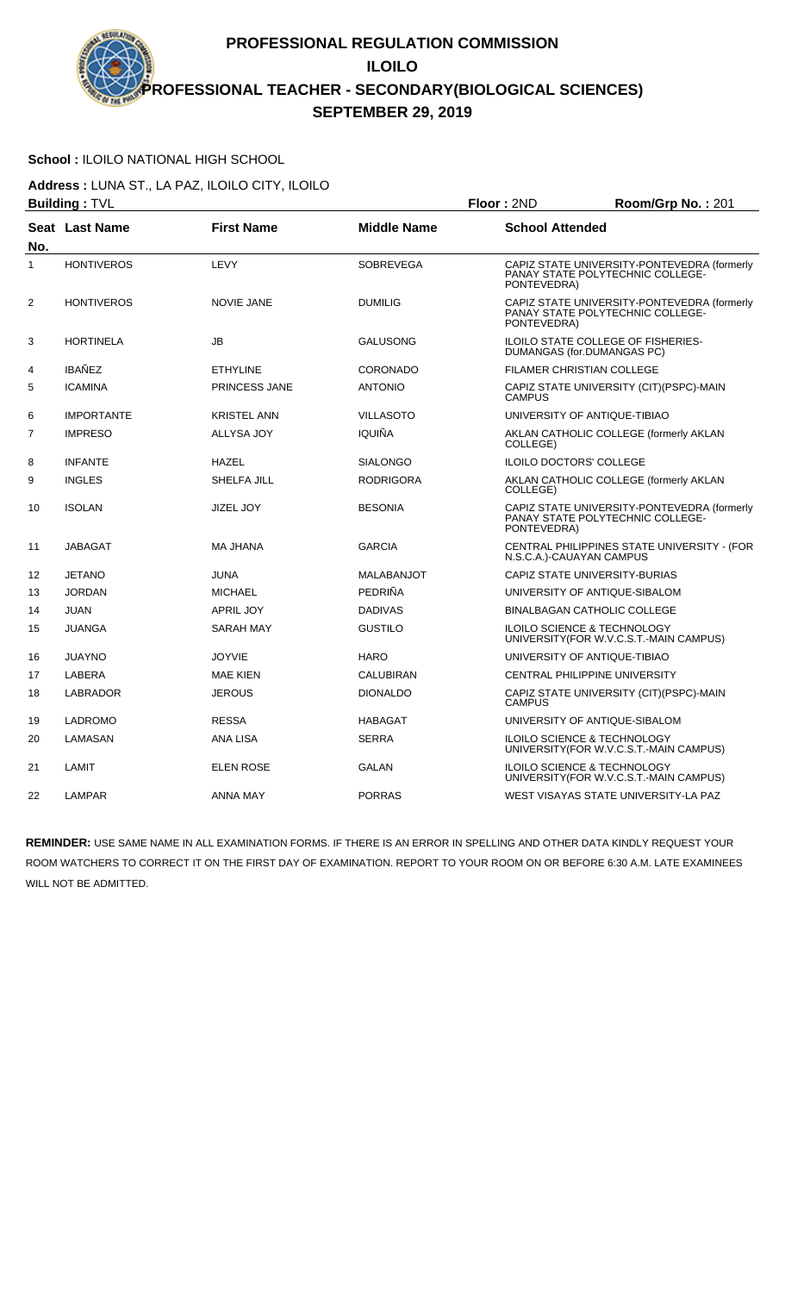### **School :** ILOILO NATIONAL HIGH SCHOOL

**Address :** LUNA ST., LA PAZ, ILOILO CITY, ILOILO **Building :** TVL **Floor :** 2ND **Room/Grp No. :** 201

|                | ∟טוועווש <sub>∙</sub> ו ∝∟ |                      |                    | שיוג ויטשו                                                                                     |
|----------------|----------------------------|----------------------|--------------------|------------------------------------------------------------------------------------------------|
| No.            | Seat Last Name             | <b>First Name</b>    | <b>Middle Name</b> | <b>School Attended</b>                                                                         |
| $\mathbf{1}$   | <b>HONTIVEROS</b>          | LEVY                 | <b>SOBREVEGA</b>   | CAPIZ STATE UNIVERSITY-PONTEVEDRA (formerly<br>PANAY STATE POLYTECHNIC COLLEGE-<br>PONTEVEDRA) |
| 2              | <b>HONTIVEROS</b>          | <b>NOVIE JANE</b>    | <b>DUMILIG</b>     | CAPIZ STATE UNIVERSITY-PONTEVEDRA (formerly<br>PANAY STATE POLYTECHNIC COLLEGE-<br>PONTEVEDRA) |
| 3              | <b>HORTINELA</b>           | <b>JB</b>            | <b>GALUSONG</b>    | ILOILO STATE COLLEGE OF FISHERIES-<br>DUMANGAS (for.DUMANGAS PC)                               |
| 4              | <b>IBAÑEZ</b>              | <b>ETHYLINE</b>      | <b>CORONADO</b>    | <b>FILAMER CHRISTIAN COLLEGE</b>                                                               |
| 5              | <b>ICAMINA</b>             | <b>PRINCESS JANE</b> | <b>ANTONIO</b>     | CAPIZ STATE UNIVERSITY (CIT) (PSPC)-MAIN<br><b>CAMPUS</b>                                      |
| 6              | <b>IMPORTANTE</b>          | <b>KRISTEL ANN</b>   | <b>VILLASOTO</b>   | UNIVERSITY OF ANTIQUE-TIBIAO                                                                   |
| $\overline{7}$ | <b>IMPRESO</b>             | ALLYSA JOY           | IQUIÑA             | AKLAN CATHOLIC COLLEGE (formerly AKLAN<br>COLLEGE)                                             |
| 8              | <b>INFANTE</b>             | <b>HAZEL</b>         | <b>SIALONGO</b>    | <b>ILOILO DOCTORS' COLLEGE</b>                                                                 |
| 9              | <b>INGLES</b>              | SHELFA JILL          | <b>RODRIGORA</b>   | AKLAN CATHOLIC COLLEGE (formerly AKLAN<br>COLLEGE)                                             |
| 10             | <b>ISOLAN</b>              | <b>JIZEL JOY</b>     | <b>BESONIA</b>     | CAPIZ STATE UNIVERSITY-PONTEVEDRA (formerly<br>PANAY STATE POLYTECHNIC COLLEGE-<br>PONTEVEDRA) |
| 11             | <b>JABAGAT</b>             | MA JHANA             | <b>GARCIA</b>      | CENTRAL PHILIPPINES STATE UNIVERSITY - (FOR<br>N.S.C.A.)-CAUAYAN CAMPUS                        |
| 12             | <b>JETANO</b>              | <b>JUNA</b>          | <b>MALABANJOT</b>  | CAPIZ STATE UNIVERSITY-BURIAS                                                                  |
| 13             | <b>JORDAN</b>              | <b>MICHAEL</b>       | PEDRIÑA            | UNIVERSITY OF ANTIQUE-SIBALOM                                                                  |
| 14             | <b>JUAN</b>                | <b>APRIL JOY</b>     | <b>DADIVAS</b>     | <b>BINALBAGAN CATHOLIC COLLEGE</b>                                                             |
| 15             | <b>JUANGA</b>              | <b>SARAH MAY</b>     | <b>GUSTILO</b>     | ILOILO SCIENCE & TECHNOLOGY<br>UNIVERSITY(FOR W.V.C.S.T.-MAIN CAMPUS)                          |
| 16             | <b>JUAYNO</b>              | <b>JOYVIE</b>        | <b>HARO</b>        | UNIVERSITY OF ANTIQUE-TIBIAO                                                                   |
| 17             | LABERA                     | MAE KIEN             | <b>CALUBIRAN</b>   | CENTRAL PHILIPPINE UNIVERSITY                                                                  |
| 18             | LABRADOR                   | <b>JEROUS</b>        | <b>DIONALDO</b>    | CAPIZ STATE UNIVERSITY (CIT)(PSPC)-MAIN<br><b>CAMPUS</b>                                       |
| 19             | <b>LADROMO</b>             | <b>RESSA</b>         | <b>HABAGAT</b>     | UNIVERSITY OF ANTIQUE-SIBALOM                                                                  |
| 20             | LAMASAN                    | ANA LISA             | <b>SERRA</b>       | <b>ILOILO SCIENCE &amp; TECHNOLOGY</b><br>UNIVERSITY (FOR W.V.C.S.T.-MAIN CAMPUS)              |
| 21             | LAMIT                      | <b>ELEN ROSE</b>     | <b>GALAN</b>       | <b>ILOILO SCIENCE &amp; TECHNOLOGY</b><br>UNIVERSITY (FOR W.V.C.S.T.-MAIN CAMPUS)              |
| 22             | LAMPAR                     | <b>ANNA MAY</b>      | <b>PORRAS</b>      | WEST VISAYAS STATE UNIVERSITY-LA PAZ                                                           |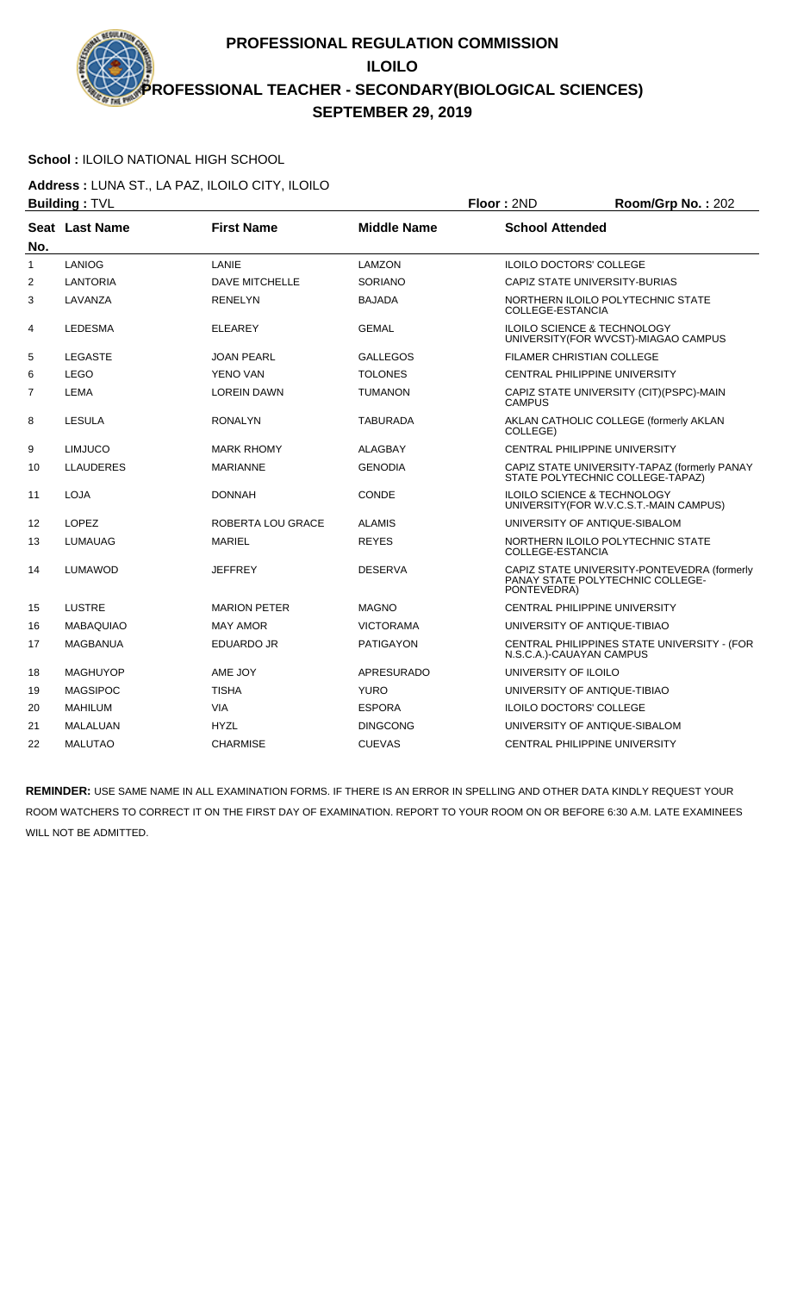# **School :** ILOILO NATIONAL HIGH SCHOOL

**Address :** LUNA ST., LA PAZ, ILOILO CITY, ILOILO **Building :** TVL **Floor :** 2ND **Room/Grp No. :** 202

|     | שטוועווש . דער   |                       |                    | שיוג ויטשו<br>1100111001110111212222                                                           |
|-----|------------------|-----------------------|--------------------|------------------------------------------------------------------------------------------------|
| No. | Seat Last Name   | <b>First Name</b>     | <b>Middle Name</b> | <b>School Attended</b>                                                                         |
| 1   | <b>LANIOG</b>    | LANIE                 | LAMZON             | <b>ILOILO DOCTORS' COLLEGE</b>                                                                 |
| 2   | <b>LANTORIA</b>  | <b>DAVE MITCHELLE</b> | SORIANO            | CAPIZ STATE UNIVERSITY-BURIAS                                                                  |
| 3   | LAVANZA          | <b>RENELYN</b>        | <b>BAJADA</b>      | NORTHERN ILOILO POLYTECHNIC STATE<br>COLLEGE-ESTANCIA                                          |
| 4   | <b>LEDESMA</b>   | <b>ELEAREY</b>        | <b>GEMAL</b>       | ILOILO SCIENCE & TECHNOLOGY<br>UNIVERSITY (FOR WVCST)-MIAGAO CAMPUS                            |
| 5   | <b>LEGASTE</b>   | <b>JOAN PEARL</b>     | <b>GALLEGOS</b>    | <b>FILAMER CHRISTIAN COLLEGE</b>                                                               |
| 6   | <b>LEGO</b>      | YENO VAN              | <b>TOLONES</b>     | <b>CENTRAL PHILIPPINE UNIVERSITY</b>                                                           |
| 7   | <b>LEMA</b>      | <b>LOREIN DAWN</b>    | <b>TUMANON</b>     | CAPIZ STATE UNIVERSITY (CIT)(PSPC)-MAIN<br><b>CAMPUS</b>                                       |
| 8   | LESULA           | <b>RONALYN</b>        | <b>TABURADA</b>    | AKLAN CATHOLIC COLLEGE (formerly AKLAN<br>COLLEGE)                                             |
| 9   | <b>LIMJUCO</b>   | <b>MARK RHOMY</b>     | <b>ALAGBAY</b>     | CENTRAL PHILIPPINE UNIVERSITY                                                                  |
| 10  | <b>LLAUDERES</b> | <b>MARIANNE</b>       | <b>GENODIA</b>     | CAPIZ STATE UNIVERSITY-TAPAZ (formerly PANAY<br>STATE POLYTECHNIC COLLEGE-TAPAZ)               |
| 11  | <b>LOJA</b>      | <b>DONNAH</b>         | CONDE              | <b>ILOILO SCIENCE &amp; TECHNOLOGY</b><br>UNIVERSITY (FOR W.V.C.S.T.-MAIN CAMPUS)              |
| 12  | LOPEZ            | ROBERTA LOU GRACE     | <b>ALAMIS</b>      | UNIVERSITY OF ANTIQUE-SIBALOM                                                                  |
| 13  | <b>LUMAUAG</b>   | <b>MARIEL</b>         | <b>REYES</b>       | NORTHERN ILOILO POLYTECHNIC STATE<br>COLLEGE-ESTANCIA                                          |
| 14  | <b>LUMAWOD</b>   | <b>JEFFREY</b>        | <b>DESERVA</b>     | CAPIZ STATE UNIVERSITY-PONTEVEDRA (formerly<br>PANAY STATE POLYTECHNIC COLLEGE-<br>PONTEVEDRA) |
| 15  | <b>LUSTRE</b>    | <b>MARION PETER</b>   | <b>MAGNO</b>       | <b>CENTRAL PHILIPPINE UNIVERSITY</b>                                                           |
| 16  | <b>MABAQUIAO</b> | <b>MAY AMOR</b>       | <b>VICTORAMA</b>   | UNIVERSITY OF ANTIQUE-TIBIAO                                                                   |
| 17  | <b>MAGBANUA</b>  | EDUARDO JR            | <b>PATIGAYON</b>   | CENTRAL PHILIPPINES STATE UNIVERSITY - (FOR<br>N.S.C.A.)-CAUAYAN CAMPUS                        |
| 18  | <b>MAGHUYOP</b>  | AME JOY               | <b>APRESURADO</b>  | UNIVERSITY OF ILOILO                                                                           |
| 19  | <b>MAGSIPOC</b>  | <b>TISHA</b>          | <b>YURO</b>        | UNIVERSITY OF ANTIQUE-TIBIAO                                                                   |
| 20  | <b>MAHILUM</b>   | <b>VIA</b>            | <b>ESPORA</b>      | <b>ILOILO DOCTORS' COLLEGE</b>                                                                 |
| 21  | MALALUAN         | <b>HYZL</b>           | <b>DINGCONG</b>    | UNIVERSITY OF ANTIQUE-SIBALOM                                                                  |
| 22  | <b>MALUTAO</b>   | <b>CHARMISE</b>       | <b>CUEVAS</b>      | <b>CENTRAL PHILIPPINE UNIVERSITY</b>                                                           |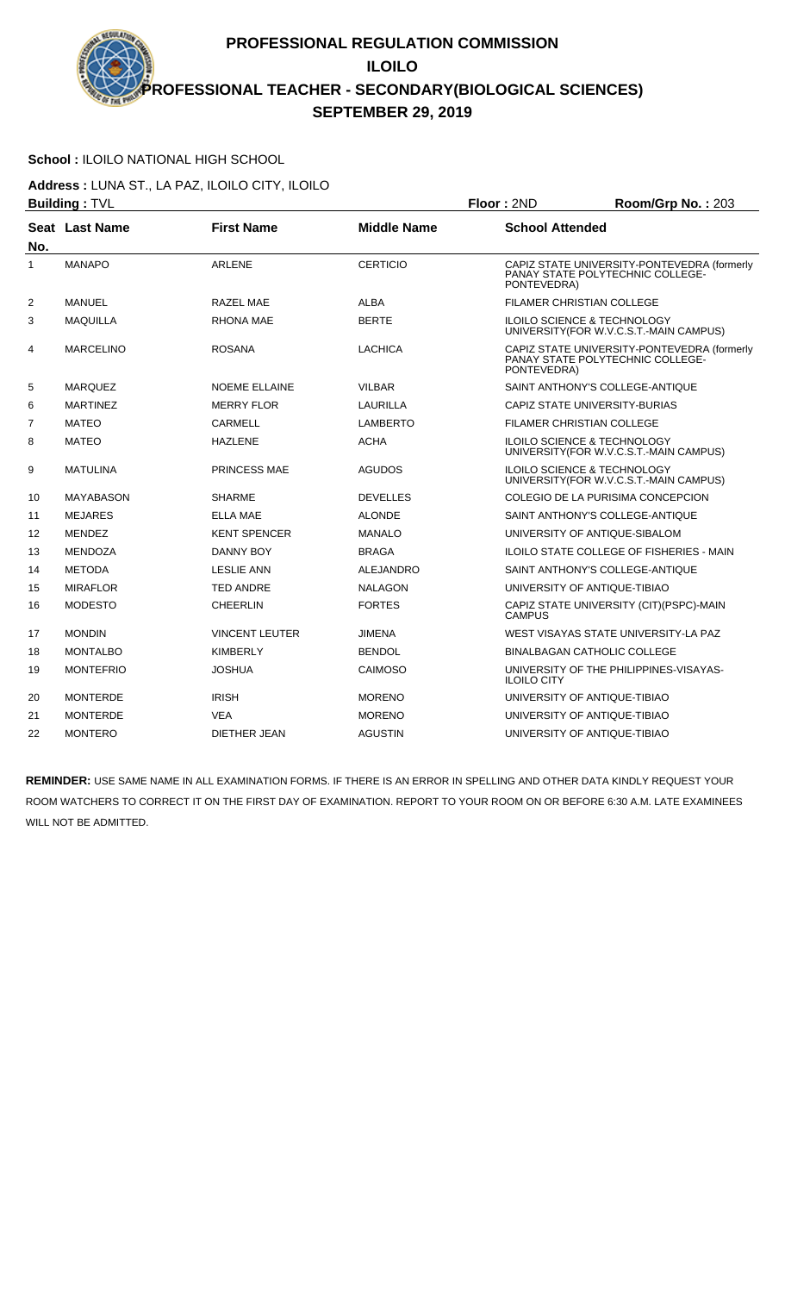#### **School :** ILOILO NATIONAL HIGH SCHOOL

**Address :** LUNA ST., LA PAZ, ILOILO CITY, ILOILO **Building :** TVL **Floor :** 2ND **Room/Grp No. :** 203

|                | שט עווועווע µ    |                       |                    | שיוג ויטטו<br>1100111011110111200                                                              |  |
|----------------|------------------|-----------------------|--------------------|------------------------------------------------------------------------------------------------|--|
| No.            | Seat Last Name   | <b>First Name</b>     | <b>Middle Name</b> | <b>School Attended</b>                                                                         |  |
| 1              | <b>MANAPO</b>    | <b>ARLENE</b>         | <b>CERTICIO</b>    | CAPIZ STATE UNIVERSITY-PONTEVEDRA (formerly<br>PANAY STATE POLYTECHNIC COLLEGE-<br>PONTEVEDRA) |  |
| 2              | MANUEL           | RAZEL MAE             | <b>ALBA</b>        | <b>FILAMER CHRISTIAN COLLEGE</b>                                                               |  |
| 3              | <b>MAQUILLA</b>  | <b>RHONA MAE</b>      | <b>BERTE</b>       | <b>ILOILO SCIENCE &amp; TECHNOLOGY</b><br>UNIVERSITY (FOR W.V.C.S.T.-MAIN CAMPUS)              |  |
| 4              | <b>MARCELINO</b> | <b>ROSANA</b>         | <b>LACHICA</b>     | CAPIZ STATE UNIVERSITY-PONTEVEDRA (formerly<br>PANAY STATE POLYTECHNIC COLLEGE-<br>PONTEVEDRA) |  |
| 5              | <b>MARQUEZ</b>   | <b>NOEME ELLAINE</b>  | <b>VILBAR</b>      | SAINT ANTHONY'S COLLEGE-ANTIQUE                                                                |  |
| 6              | <b>MARTINEZ</b>  | <b>MERRY FLOR</b>     | <b>LAURILLA</b>    | CAPIZ STATE UNIVERSITY-BURIAS                                                                  |  |
| $\overline{7}$ | <b>MATEO</b>     | <b>CARMELL</b>        | <b>LAMBERTO</b>    | <b>FILAMER CHRISTIAN COLLEGE</b>                                                               |  |
| 8              | <b>MATEO</b>     | <b>HAZLENE</b>        | <b>ACHA</b>        | <b>ILOILO SCIENCE &amp; TECHNOLOGY</b><br>UNIVERSITY(FOR W.V.C.S.T.-MAIN CAMPUS)               |  |
| 9              | <b>MATULINA</b>  | PRINCESS MAE          | <b>AGUDOS</b>      | ILOILO SCIENCE & TECHNOLOGY<br>UNIVERSITY (FOR W.V.C.S.T.-MAIN CAMPUS)                         |  |
| 10             | <b>MAYABASON</b> | <b>SHARME</b>         | <b>DEVELLES</b>    | COLEGIO DE LA PURISIMA CONCEPCION                                                              |  |
| 11             | <b>MEJARES</b>   | <b>ELLA MAE</b>       | <b>ALONDE</b>      | SAINT ANTHONY'S COLLEGE-ANTIQUE                                                                |  |
| 12             | <b>MENDEZ</b>    | <b>KENT SPENCER</b>   | <b>MANALO</b>      | UNIVERSITY OF ANTIQUE-SIBALOM                                                                  |  |
| 13             | <b>MENDOZA</b>   | <b>DANNY BOY</b>      | <b>BRAGA</b>       | ILOILO STATE COLLEGE OF FISHERIES - MAIN                                                       |  |
| 14             | <b>METODA</b>    | <b>LESLIE ANN</b>     | <b>ALEJANDRO</b>   | SAINT ANTHONY'S COLLEGE-ANTIQUE                                                                |  |
| 15             | <b>MIRAFLOR</b>  | <b>TED ANDRE</b>      | <b>NALAGON</b>     | UNIVERSITY OF ANTIQUE-TIBIAO                                                                   |  |
| 16             | <b>MODESTO</b>   | <b>CHEERLIN</b>       | <b>FORTES</b>      | CAPIZ STATE UNIVERSITY (CIT) (PSPC)-MAIN<br><b>CAMPUS</b>                                      |  |
| 17             | <b>MONDIN</b>    | <b>VINCENT LEUTER</b> | <b>JIMENA</b>      | WEST VISAYAS STATE UNIVERSITY-LA PAZ                                                           |  |
| 18             | <b>MONTALBO</b>  | <b>KIMBERLY</b>       | <b>BENDOL</b>      | <b>BINALBAGAN CATHOLIC COLLEGE</b>                                                             |  |
| 19             | <b>MONTEFRIO</b> | <b>JOSHUA</b>         | <b>CAIMOSO</b>     | UNIVERSITY OF THE PHILIPPINES-VISAYAS-<br><b>ILOILO CITY</b>                                   |  |
| 20             | <b>MONTERDE</b>  | <b>IRISH</b>          | <b>MORENO</b>      | UNIVERSITY OF ANTIQUE-TIBIAO                                                                   |  |
| 21             | <b>MONTERDE</b>  | <b>VEA</b>            | <b>MORENO</b>      | UNIVERSITY OF ANTIQUE-TIBIAO                                                                   |  |
| 22             | <b>MONTERO</b>   | <b>DIETHER JEAN</b>   | <b>AGUSTIN</b>     | UNIVERSITY OF ANTIQUE-TIBIAO                                                                   |  |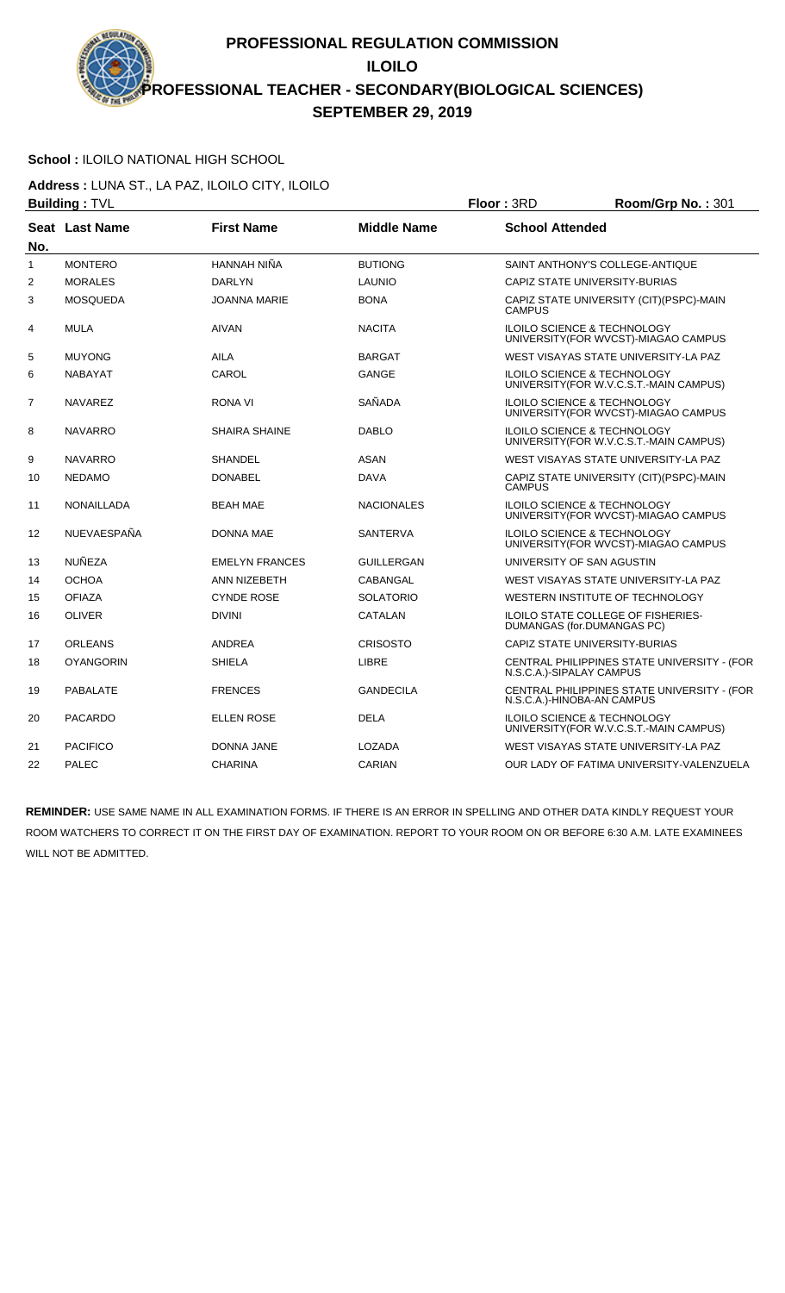# **School :** ILOILO NATIONAL HIGH SCHOOL

**Address :** LUNA ST., LA PAZ, ILOILO CITY, ILOILO **Building :** TVL **Floor :** 3RD **Room/Grp No. :** 301

|                | שט . דעווועווועµ  |                       |                    | שנוט בו שטו<br>$1001111$ $1101110$                                                |
|----------------|-------------------|-----------------------|--------------------|-----------------------------------------------------------------------------------|
| No.            | Seat Last Name    | <b>First Name</b>     | <b>Middle Name</b> | <b>School Attended</b>                                                            |
| 1              | <b>MONTERO</b>    | HANNAH NIÑA           | <b>BUTIONG</b>     | SAINT ANTHONY'S COLLEGE-ANTIQUE                                                   |
| 2              | <b>MORALES</b>    | <b>DARLYN</b>         | <b>LAUNIO</b>      | CAPIZ STATE UNIVERSITY-BURIAS                                                     |
| 3              | <b>MOSQUEDA</b>   | <b>JOANNA MARIE</b>   | <b>BONA</b>        | CAPIZ STATE UNIVERSITY (CIT)(PSPC)-MAIN<br><b>CAMPUS</b>                          |
| 4              | <b>MULA</b>       | <b>AIVAN</b>          | <b>NACITA</b>      | <b>ILOILO SCIENCE &amp; TECHNOLOGY</b><br>UNIVERSITY (FOR WVCST)-MIAGAO CAMPUS    |
| 5              | <b>MUYONG</b>     | <b>AILA</b>           | <b>BARGAT</b>      | WEST VISAYAS STATE UNIVERSITY-LA PAZ                                              |
| 6              | <b>NABAYAT</b>    | CAROL                 | <b>GANGE</b>       | ILOILO SCIENCE & TECHNOLOGY<br>UNIVERSITY (FOR W.V.C.S.T.-MAIN CAMPUS)            |
| $\overline{7}$ | <b>NAVAREZ</b>    | RONA VI               | SAÑADA             | <b>ILOILO SCIENCE &amp; TECHNOLOGY</b><br>UNIVERSITY(FOR WVCST)-MIAGAO CAMPUS     |
| 8              | <b>NAVARRO</b>    | <b>SHAIRA SHAINE</b>  | <b>DABLO</b>       | <b>ILOILO SCIENCE &amp; TECHNOLOGY</b><br>UNIVERSITY (FOR W.V.C.S.T.-MAIN CAMPUS) |
| 9              | <b>NAVARRO</b>    | <b>SHANDEL</b>        | <b>ASAN</b>        | WEST VISAYAS STATE UNIVERSITY-LA PAZ                                              |
| 10             | <b>NEDAMO</b>     | <b>DONABEL</b>        | <b>DAVA</b>        | CAPIZ STATE UNIVERSITY (CIT)(PSPC)-MAIN<br><b>CAMPUS</b>                          |
| 11             | <b>NONAILLADA</b> | <b>BEAH MAE</b>       | <b>NACIONALES</b>  | <b>ILOILO SCIENCE &amp; TECHNOLOGY</b><br>UNIVERSITY(FOR WVCST)-MIAGAO CAMPUS     |
| 12             | NUEVAESPAÑA       | <b>DONNA MAE</b>      | <b>SANTERVA</b>    | <b>ILOILO SCIENCE &amp; TECHNOLOGY</b><br>UNIVERSITY(FOR WVCST)-MIAGAO CAMPUS     |
| 13             | NUÑEZA            | <b>EMELYN FRANCES</b> | GUILLERGAN         | UNIVERSITY OF SAN AGUSTIN                                                         |
| 14             | <b>OCHOA</b>      | ANN NIZEBETH          | CABANGAL           | WEST VISAYAS STATE UNIVERSITY-LA PAZ                                              |
| 15             | <b>OFIAZA</b>     | <b>CYNDE ROSE</b>     | <b>SOLATORIO</b>   | WESTERN INSTITUTE OF TECHNOLOGY                                                   |
| 16             | <b>OLIVER</b>     | <b>DIVINI</b>         | CATALAN            | ILOILO STATE COLLEGE OF FISHERIES-<br>DUMANGAS (for.DUMANGAS PC)                  |
| 17             | <b>ORLEANS</b>    | <b>ANDREA</b>         | <b>CRISOSTO</b>    | CAPIZ STATE UNIVERSITY-BURIAS                                                     |
| 18             | <b>OYANGORIN</b>  | <b>SHIELA</b>         | LIBRE              | CENTRAL PHILIPPINES STATE UNIVERSITY - (FOR<br>N.S.C.A.)-SIPALAY CAMPUS           |
| 19             | <b>PABALATE</b>   | <b>FRENCES</b>        | <b>GANDECILA</b>   | CENTRAL PHILIPPINES STATE UNIVERSITY - (FOR<br>N.S.C.A.)-HINOBA-AN CAMPUS         |
| 20             | <b>PACARDO</b>    | <b>ELLEN ROSE</b>     | <b>DELA</b>        | <b>ILOILO SCIENCE &amp; TECHNOLOGY</b><br>UNIVERSITY(FOR W.V.C.S.T.-MAIN CAMPUS)  |
| 21             | <b>PACIFICO</b>   | <b>DONNA JANE</b>     | LOZADA             | WEST VISAYAS STATE UNIVERSITY-LA PAZ                                              |
| 22             | <b>PALEC</b>      | <b>CHARINA</b>        | CARIAN             | OUR LADY OF FATIMA UNIVERSITY-VALENZUELA                                          |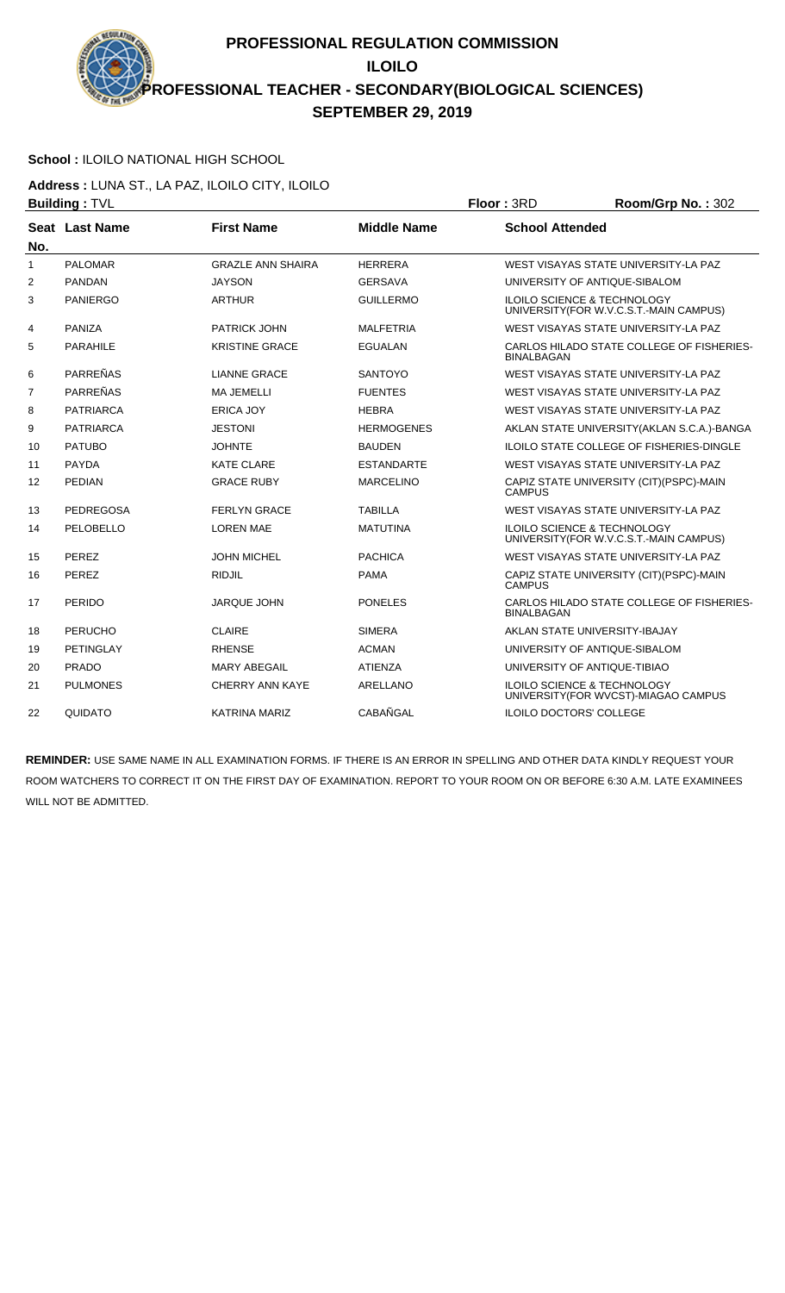# **School :** ILOILO NATIONAL HIGH SCHOOL

**Address :** LUNA ST., LA PAZ, ILOILO CITY, ILOILO **Building :** TVL **Floor :** 3RD **Room/Grp No. :** 302

|                | ранангу прос     |                          |                    | .<br>1100111101101101.002                                                         |
|----------------|------------------|--------------------------|--------------------|-----------------------------------------------------------------------------------|
| No.            | Seat Last Name   | <b>First Name</b>        | <b>Middle Name</b> | <b>School Attended</b>                                                            |
| $\mathbf{1}$   | <b>PALOMAR</b>   | <b>GRAZLE ANN SHAIRA</b> | <b>HERRERA</b>     | WEST VISAYAS STATE UNIVERSITY-LA PAZ                                              |
| 2              | <b>PANDAN</b>    | <b>JAYSON</b>            | <b>GERSAVA</b>     | UNIVERSITY OF ANTIQUE-SIBALOM                                                     |
| 3              | <b>PANIERGO</b>  | <b>ARTHUR</b>            | <b>GUILLERMO</b>   | <b>ILOILO SCIENCE &amp; TECHNOLOGY</b><br>UNIVERSITY (FOR W.V.C.S.T.-MAIN CAMPUS) |
| 4              | PANIZA           | <b>PATRICK JOHN</b>      | <b>MALFETRIA</b>   | WEST VISAYAS STATE UNIVERSITY-LA PAZ                                              |
| 5              | <b>PARAHILE</b>  | <b>KRISTINE GRACE</b>    | <b>EGUALAN</b>     | CARLOS HILADO STATE COLLEGE OF FISHERIES-<br><b>BINALBAGAN</b>                    |
| 6              | <b>PARREÑAS</b>  | <b>LIANNE GRACE</b>      | <b>SANTOYO</b>     | WEST VISAYAS STATE UNIVERSITY-LA PAZ                                              |
| $\overline{7}$ | <b>PARREÑAS</b>  | <b>MA JEMELLI</b>        | <b>FUENTES</b>     | WEST VISAYAS STATE UNIVERSITY-LA PAZ                                              |
| 8              | <b>PATRIARCA</b> | <b>ERICA JOY</b>         | <b>HEBRA</b>       | WEST VISAYAS STATE UNIVERSITY-LA PAZ                                              |
| 9              | <b>PATRIARCA</b> | <b>JESTONI</b>           | <b>HERMOGENES</b>  | AKLAN STATE UNIVERSITY (AKLAN S.C.A.)-BANGA                                       |
| 10             | <b>PATUBO</b>    | <b>JOHNTE</b>            | <b>BAUDEN</b>      | ILOILO STATE COLLEGE OF FISHERIES-DINGLE                                          |
| 11             | <b>PAYDA</b>     | <b>KATE CLARE</b>        | <b>ESTANDARTE</b>  | WEST VISAYAS STATE UNIVERSITY-LA PAZ                                              |
| 12             | <b>PEDIAN</b>    | <b>GRACE RUBY</b>        | <b>MARCELINO</b>   | CAPIZ STATE UNIVERSITY (CIT) (PSPC)-MAIN<br><b>CAMPUS</b>                         |
| 13             | <b>PEDREGOSA</b> | <b>FERLYN GRACE</b>      | <b>TABILLA</b>     | WEST VISAYAS STATE UNIVERSITY-LA PAZ                                              |
| 14             | PELOBELLO        | <b>LOREN MAE</b>         | <b>MATUTINA</b>    | <b>ILOILO SCIENCE &amp; TECHNOLOGY</b><br>UNIVERSITY (FOR W.V.C.S.T.-MAIN CAMPUS) |
| 15             | PEREZ            | <b>JOHN MICHEL</b>       | <b>PACHICA</b>     | WEST VISAYAS STATE UNIVERSITY-LA PAZ                                              |
| 16             | <b>PEREZ</b>     | <b>RIDJIL</b>            | <b>PAMA</b>        | CAPIZ STATE UNIVERSITY (CIT)(PSPC)-MAIN<br><b>CAMPUS</b>                          |
| 17             | PERIDO           | <b>JARQUE JOHN</b>       | <b>PONELES</b>     | CARLOS HILADO STATE COLLEGE OF FISHERIES-<br><b>BINALBAGAN</b>                    |
| 18             | <b>PERUCHO</b>   | <b>CLAIRE</b>            | <b>SIMERA</b>      | AKLAN STATE UNIVERSITY-IBAJAY                                                     |
| 19             | <b>PETINGLAY</b> | <b>RHENSE</b>            | <b>ACMAN</b>       | UNIVERSITY OF ANTIQUE-SIBALOM                                                     |
| 20             | <b>PRADO</b>     | <b>MARY ABEGAIL</b>      | <b>ATIENZA</b>     | UNIVERSITY OF ANTIQUE-TIBIAO                                                      |
| 21             | <b>PULMONES</b>  | <b>CHERRY ANN KAYE</b>   | <b>ARELLANO</b>    | <b>ILOILO SCIENCE &amp; TECHNOLOGY</b><br>UNIVERSITY (FOR WVCST)-MIAGAO CAMPUS    |
| 22             | QUIDATO          | <b>KATRINA MARIZ</b>     | CABAÑGAL           | <b>ILOILO DOCTORS' COLLEGE</b>                                                    |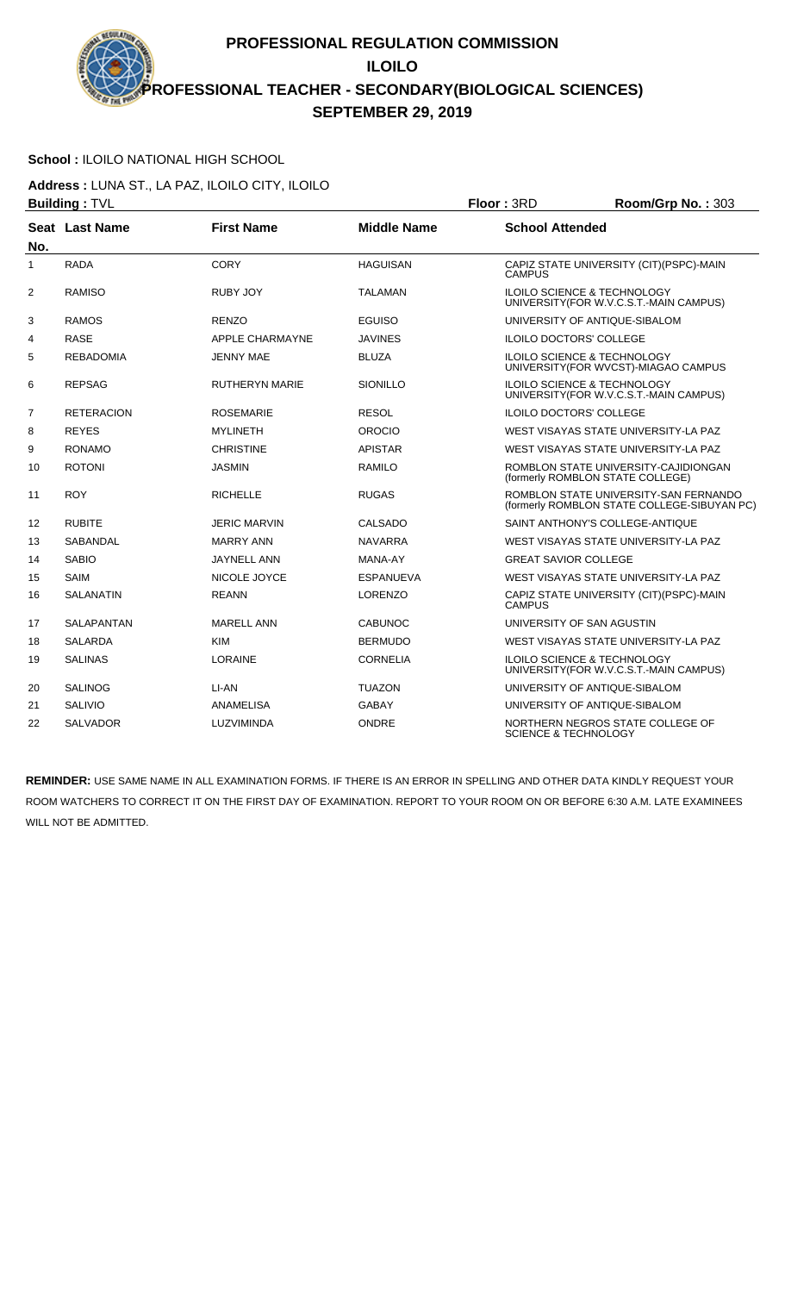## **School :** ILOILO NATIONAL HIGH SCHOOL

**Address :** LUNA ST., LA PAZ, ILOILO CITY, ILOILO **Building :** TVL **Floor :** 3RD **Room/Grp No. :** 303

|                | שעוועווואַ . ו ע  |                        |                    | שיוט וייטשו<br>11001111011011101.1000                                                |
|----------------|-------------------|------------------------|--------------------|--------------------------------------------------------------------------------------|
| No.            | Seat Last Name    | <b>First Name</b>      | <b>Middle Name</b> | <b>School Attended</b>                                                               |
| 1              | <b>RADA</b>       | <b>CORY</b>            | <b>HAGUISAN</b>    | CAPIZ STATE UNIVERSITY (CIT)(PSPC)-MAIN<br><b>CAMPUS</b>                             |
| 2              | <b>RAMISO</b>     | RUBY JOY               | <b>TALAMAN</b>     | <b>ILOILO SCIENCE &amp; TECHNOLOGY</b><br>UNIVERSITY (FOR W.V.C.S.T.-MAIN CAMPUS)    |
| 3              | <b>RAMOS</b>      | <b>RENZO</b>           | <b>EGUISO</b>      | UNIVERSITY OF ANTIQUE-SIBALOM                                                        |
| 4              | <b>RASE</b>       | <b>APPLE CHARMAYNE</b> | <b>JAVINES</b>     | <b>ILOILO DOCTORS' COLLEGE</b>                                                       |
| 5              | <b>REBADOMIA</b>  | JENNY MAE              | <b>BLUZA</b>       | <b>ILOILO SCIENCE &amp; TECHNOLOGY</b><br>UNIVERSITY(FOR WVCST)-MIAGAO CAMPUS        |
| 6              | <b>REPSAG</b>     | RUTHERYN MARIE         | SIONILLO           | ILOILO SCIENCE & TECHNOLOGY<br>UNIVERSITY (FOR W.V.C.S.T.-MAIN CAMPUS)               |
| $\overline{7}$ | <b>RETERACION</b> | <b>ROSEMARIE</b>       | <b>RESOL</b>       | <b>ILOILO DOCTORS' COLLEGE</b>                                                       |
| 8              | <b>REYES</b>      | <b>MYLINETH</b>        | OROCIO             | WEST VISAYAS STATE UNIVERSITY-LA PAZ                                                 |
| 9              | <b>RONAMO</b>     | <b>CHRISTINE</b>       | <b>APISTAR</b>     | WEST VISAYAS STATE UNIVERSITY-LA PAZ                                                 |
| 10             | <b>ROTONI</b>     | <b>JASMIN</b>          | <b>RAMILO</b>      | ROMBLON STATE UNIVERSITY-CAJIDIONGAN<br>(formerly ROMBLON STATE COLLEGE)             |
| 11             | <b>ROY</b>        | <b>RICHELLE</b>        | <b>RUGAS</b>       | ROMBLON STATE UNIVERSITY-SAN FERNANDO<br>(formerly ROMBLON STATE COLLEGE-SIBUYAN PC) |
| 12             | <b>RUBITE</b>     | <b>JERIC MARVIN</b>    | CALSADO            | SAINT ANTHONY'S COLLEGE-ANTIQUE                                                      |
| 13             | SABANDAL          | <b>MARRY ANN</b>       | <b>NAVARRA</b>     | WEST VISAYAS STATE UNIVERSITY-LA PAZ                                                 |
| 14             | <b>SABIO</b>      | JAYNELL ANN            | MANA-AY            | <b>GREAT SAVIOR COLLEGE</b>                                                          |
| 15             | <b>SAIM</b>       | NICOLE JOYCE           | <b>ESPANUEVA</b>   | WEST VISAYAS STATE UNIVERSITY-LA PAZ                                                 |
| 16             | SALANATIN         | <b>REANN</b>           | <b>LORENZO</b>     | CAPIZ STATE UNIVERSITY (CIT) (PSPC)-MAIN<br><b>CAMPUS</b>                            |
| 17             | <b>SALAPANTAN</b> | <b>MARELL ANN</b>      | <b>CABUNOC</b>     | UNIVERSITY OF SAN AGUSTIN                                                            |
| 18             | <b>SALARDA</b>    | <b>KIM</b>             | <b>BERMUDO</b>     | WEST VISAYAS STATE UNIVERSITY-LA PAZ                                                 |
| 19             | <b>SALINAS</b>    | <b>LORAINE</b>         | <b>CORNELIA</b>    | ILOILO SCIENCE & TECHNOLOGY<br>UNIVERSITY (FOR W.V.C.S.T.-MAIN CAMPUS)               |
| 20             | <b>SALINOG</b>    | LI-AN                  | <b>TUAZON</b>      | UNIVERSITY OF ANTIQUE-SIBALOM                                                        |
| 21             | <b>SALIVIO</b>    | ANAMELISA              | <b>GABAY</b>       | UNIVERSITY OF ANTIQUE-SIBALOM                                                        |
| 22             | <b>SALVADOR</b>   | LUZVIMINDA             | <b>ONDRE</b>       | NORTHERN NEGROS STATE COLLEGE OF<br><b>SCIENCE &amp; TECHNOLOGY</b>                  |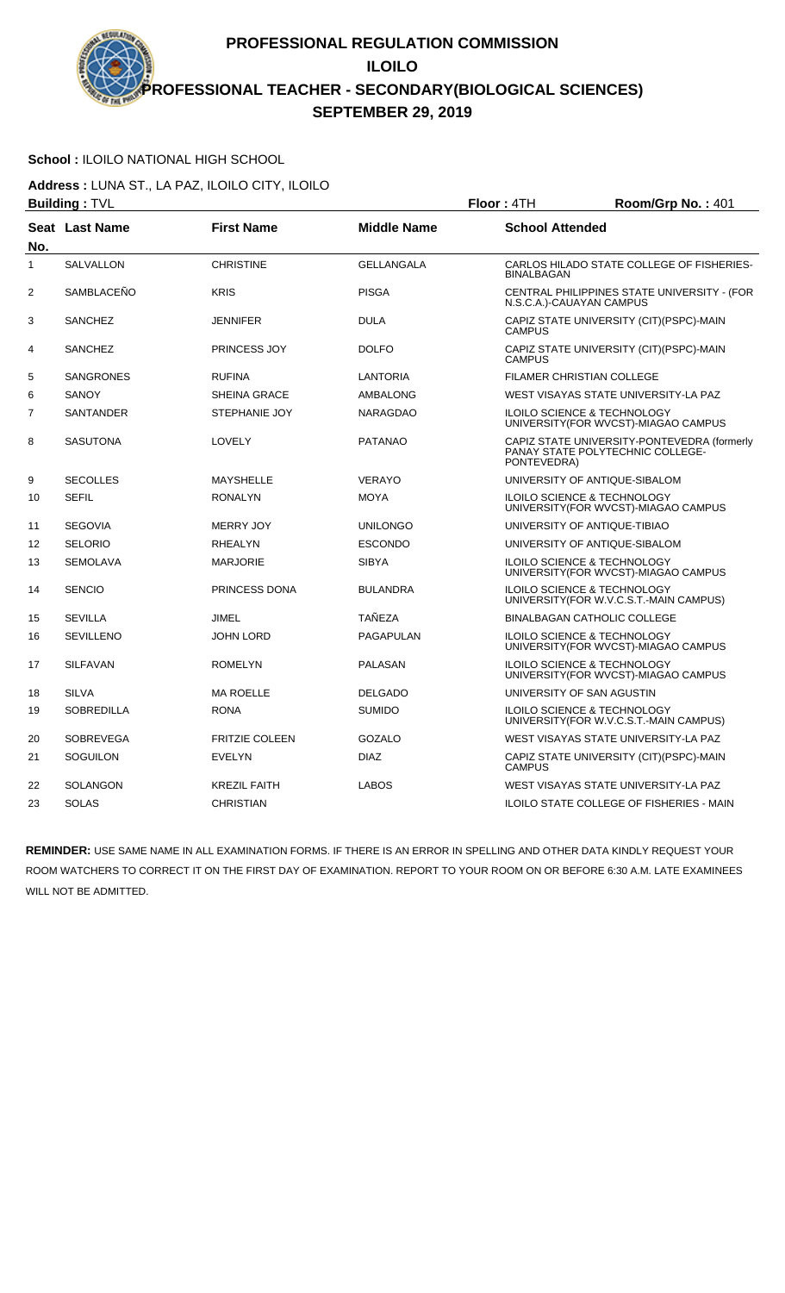# **School :** ILOILO NATIONAL HIGH SCHOOL

**Address :** LUNA ST., LA PAZ, ILOILO CITY, ILOILO **Building :** TVL **Floor :** 4TH **Room/Grp No. :** 401

|                | <b>Dununiy</b> . I v∟ |                       |                    | <b>FIUUL 4111</b>        | <b>NUUIIIUUI U INU.</b> . 40 I                                                    |
|----------------|-----------------------|-----------------------|--------------------|--------------------------|-----------------------------------------------------------------------------------|
| No.            | Seat Last Name        | <b>First Name</b>     | <b>Middle Name</b> | <b>School Attended</b>   |                                                                                   |
| 1              | <b>SALVALLON</b>      | <b>CHRISTINE</b>      | <b>GELLANGALA</b>  | <b>BINALBAGAN</b>        | CARLOS HILADO STATE COLLEGE OF FISHERIES-                                         |
| $\overline{c}$ | SAMBLACENO            | <b>KRIS</b>           | <b>PISGA</b>       | N.S.C.A.)-CAUAYAN CAMPUS | CENTRAL PHILIPPINES STATE UNIVERSITY - (FOR                                       |
| 3              | <b>SANCHEZ</b>        | JENNIFER              | <b>DULA</b>        | <b>CAMPUS</b>            | CAPIZ STATE UNIVERSITY (CIT)(PSPC)-MAIN                                           |
| 4              | <b>SANCHEZ</b>        | <b>PRINCESS JOY</b>   | <b>DOLFO</b>       | <b>CAMPUS</b>            | CAPIZ STATE UNIVERSITY (CIT)(PSPC)-MAIN                                           |
| 5              | <b>SANGRONES</b>      | <b>RUFINA</b>         | LANTORIA           |                          | FILAMER CHRISTIAN COLLEGE                                                         |
| 6              | <b>SANOY</b>          | <b>SHEINA GRACE</b>   | AMBALONG           |                          | WEST VISAYAS STATE UNIVERSITY-LA PAZ                                              |
| $\overline{7}$ | <b>SANTANDER</b>      | <b>STEPHANIE JOY</b>  | <b>NARAGDAO</b>    |                          | <b>ILOILO SCIENCE &amp; TECHNOLOGY</b><br>UNIVERSITY(FOR WVCST)-MIAGAO CAMPUS     |
| 8              | <b>SASUTONA</b>       | LOVELY                | <b>PATANAO</b>     | PONTEVEDRA)              | CAPIZ STATE UNIVERSITY-PONTEVEDRA (formerly<br>PANAY STATE POLYTECHNIC COLLEGE-   |
| 9              | <b>SECOLLES</b>       | MAYSHELLE             | <b>VERAYO</b>      |                          | UNIVERSITY OF ANTIQUE-SIBALOM                                                     |
| 10             | <b>SEFIL</b>          | <b>RONALYN</b>        | <b>MOYA</b>        |                          | <b>ILOILO SCIENCE &amp; TECHNOLOGY</b><br>UNIVERSITY (FOR WVCST)-MIAGAO CAMPUS    |
| 11             | <b>SEGOVIA</b>        | <b>MERRY JOY</b>      | <b>UNILONGO</b>    |                          | UNIVERSITY OF ANTIQUE-TIBIAO                                                      |
| 12             | <b>SELORIO</b>        | <b>RHEALYN</b>        | <b>ESCONDO</b>     |                          | UNIVERSITY OF ANTIQUE-SIBALOM                                                     |
| 13             | <b>SEMOLAVA</b>       | <b>MARJORIE</b>       | <b>SIBYA</b>       |                          | ILOILO SCIENCE & TECHNOLOGY<br>UNIVERSITY(FOR WVCST)-MIAGAO CAMPUS                |
| 14             | <b>SENCIO</b>         | PRINCESS DONA         | <b>BULANDRA</b>    |                          | <b>ILOILO SCIENCE &amp; TECHNOLOGY</b><br>UNIVERSITY (FOR W.V.C.S.T.-MAIN CAMPUS) |
| 15             | <b>SEVILLA</b>        | <b>JIMEL</b>          | <b>TAÑEZA</b>      |                          | <b>BINALBAGAN CATHOLIC COLLEGE</b>                                                |
| 16             | <b>SEVILLENO</b>      | <b>JOHN LORD</b>      | <b>PAGAPULAN</b>   |                          | ILOILO SCIENCE & TECHNOLOGY<br>UNIVERSITY(FOR WVCST)-MIAGAO CAMPUS                |
| 17             | <b>SILFAVAN</b>       | <b>ROMELYN</b>        | <b>PALASAN</b>     |                          | ILOILO SCIENCE & TECHNOLOGY<br>UNIVERSITY(FOR WVCST)-MIAGAO CAMPUS                |
| 18             | <b>SILVA</b>          | <b>MA ROELLE</b>      | <b>DELGADO</b>     |                          | UNIVERSITY OF SAN AGUSTIN                                                         |
| 19             | <b>SOBREDILLA</b>     | <b>RONA</b>           | <b>SUMIDO</b>      |                          | ILOILO SCIENCE & TECHNOLOGY<br>UNIVERSITY (FOR W.V.C.S.T.-MAIN CAMPUS)            |
| 20             | <b>SOBREVEGA</b>      | <b>FRITZIE COLEEN</b> | <b>GOZALO</b>      |                          | WEST VISAYAS STATE UNIVERSITY-LA PAZ                                              |
| 21             | <b>SOGUILON</b>       | <b>EVELYN</b>         | <b>DIAZ</b>        | <b>CAMPUS</b>            | CAPIZ STATE UNIVERSITY (CIT)(PSPC)-MAIN                                           |
| 22             | <b>SOLANGON</b>       | <b>KREZIL FAITH</b>   | <b>LABOS</b>       |                          | WEST VISAYAS STATE UNIVERSITY-LA PAZ                                              |
| 23             | <b>SOLAS</b>          | <b>CHRISTIAN</b>      |                    |                          | <b>ILOILO STATE COLLEGE OF FISHERIES - MAIN</b>                                   |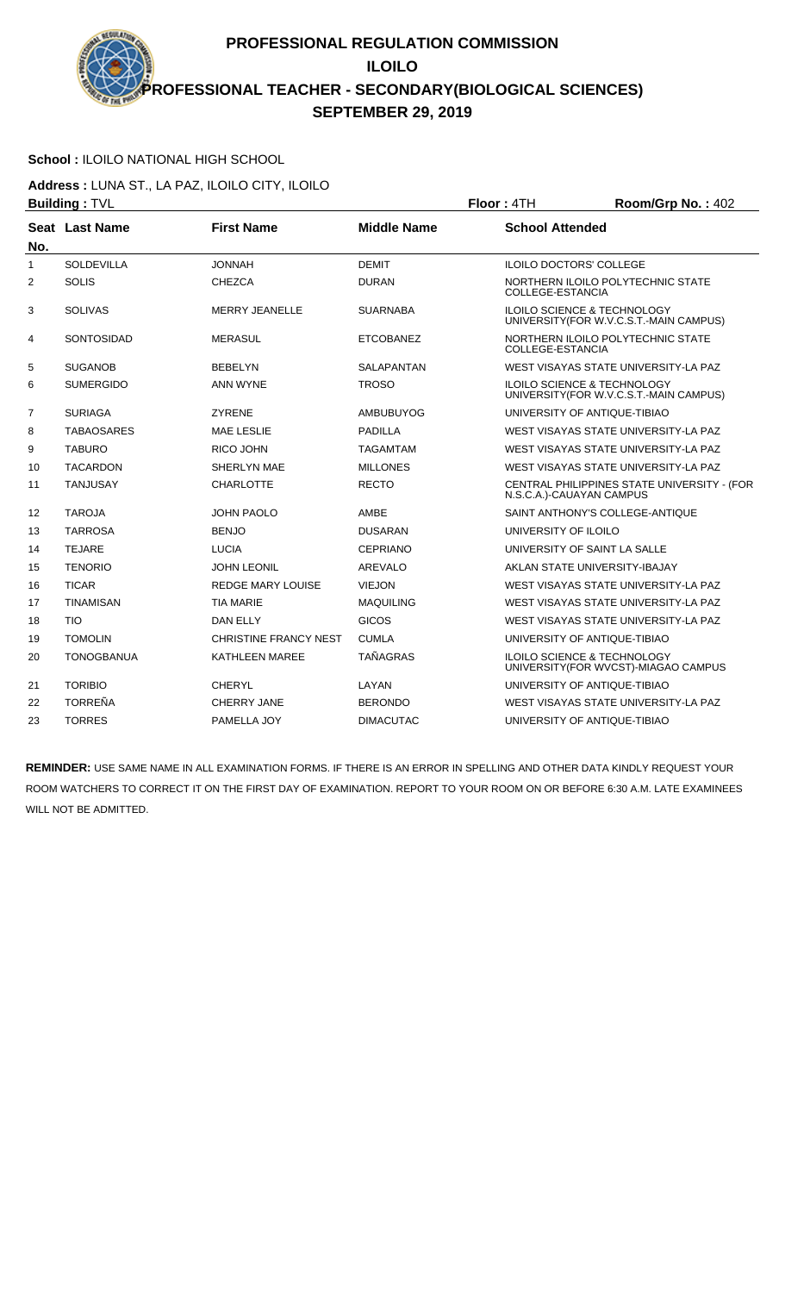# **School :** ILOILO NATIONAL HIGH SCHOOL

**Address :** LUNA ST., LA PAZ, ILOILO CITY, ILOILO **Building : TVL Building : TVL Floor : 4TH Room/Grp No. : 402** 

|              |                   |                              |                    | . <del>.</del><br>1100111011110111711102                                          |
|--------------|-------------------|------------------------------|--------------------|-----------------------------------------------------------------------------------|
| No.          | Seat Last Name    | <b>First Name</b>            | <b>Middle Name</b> | <b>School Attended</b>                                                            |
| $\mathbf{1}$ | SOLDEVILLA        | <b>JONNAH</b>                | <b>DEMIT</b>       | <b>ILOILO DOCTORS' COLLEGE</b>                                                    |
| 2            | <b>SOLIS</b>      | <b>CHEZCA</b>                | <b>DURAN</b>       | NORTHERN ILOILO POLYTECHNIC STATE<br>COLLEGE-ESTANCIA                             |
| 3            | <b>SOLIVAS</b>    | <b>MERRY JEANELLE</b>        | <b>SUARNABA</b>    | <b>ILOILO SCIENCE &amp; TECHNOLOGY</b><br>UNIVERSITY(FOR W.V.C.S.T.-MAIN CAMPUS)  |
| 4            | <b>SONTOSIDAD</b> | <b>MERASUL</b>               | <b>ETCOBANEZ</b>   | NORTHERN ILOILO POLYTECHNIC STATE<br><b>COLLEGE-ESTANCIA</b>                      |
| 5            | <b>SUGANOB</b>    | <b>BEBELYN</b>               | SALAPANTAN         | WEST VISAYAS STATE UNIVERSITY-LA PAZ                                              |
| 6            | <b>SUMERGIDO</b>  | <b>ANN WYNE</b>              | <b>TROSO</b>       | <b>ILOILO SCIENCE &amp; TECHNOLOGY</b><br>UNIVERSITY (FOR W.V.C.S.T.-MAIN CAMPUS) |
| 7            | <b>SURIAGA</b>    | <b>ZYRENE</b>                | AMBUBUYOG          | UNIVERSITY OF ANTIQUE-TIBIAO                                                      |
| 8            | <b>TABAOSARES</b> | <b>MAE LESLIE</b>            | <b>PADILLA</b>     | WEST VISAYAS STATE UNIVERSITY-LA PAZ                                              |
| 9            | <b>TABURO</b>     | <b>RICO JOHN</b>             | TAGAMTAM           | WEST VISAYAS STATE UNIVERSITY-LA PAZ                                              |
| 10           | <b>TACARDON</b>   | SHERLYN MAE                  | <b>MILLONES</b>    | WEST VISAYAS STATE UNIVERSITY-LA PAZ                                              |
| 11           | <b>TANJUSAY</b>   | <b>CHARLOTTE</b>             | <b>RECTO</b>       | CENTRAL PHILIPPINES STATE UNIVERSITY - (FOR<br>N.S.C.A.)-CAUAYAN CAMPUS           |
| 12           | <b>TAROJA</b>     | <b>JOHN PAOLO</b>            | AMBE               | SAINT ANTHONY'S COLLEGE-ANTIQUE                                                   |
| 13           | <b>TARROSA</b>    | <b>BENJO</b>                 | <b>DUSARAN</b>     | UNIVERSITY OF ILOILO                                                              |
| 14           | <b>TEJARE</b>     | <b>LUCIA</b>                 | <b>CEPRIANO</b>    | UNIVERSITY OF SAINT LA SALLE                                                      |
| 15           | <b>TENORIO</b>    | <b>JOHN LEONIL</b>           | <b>AREVALO</b>     | AKLAN STATE UNIVERSITY-IBAJAY                                                     |
| 16           | <b>TICAR</b>      | <b>REDGE MARY LOUISE</b>     | <b>VIEJON</b>      | WEST VISAYAS STATE UNIVERSITY-LA PAZ                                              |
| 17           | <b>TINAMISAN</b>  | <b>TIA MARIE</b>             | <b>MAQUILING</b>   | WEST VISAYAS STATE UNIVERSITY-LA PAZ                                              |
| 18           | <b>TIO</b>        | DAN ELLY                     | <b>GICOS</b>       | WEST VISAYAS STATE UNIVERSITY-LA PAZ                                              |
| 19           | <b>TOMOLIN</b>    | <b>CHRISTINE FRANCY NEST</b> | <b>CUMLA</b>       | UNIVERSITY OF ANTIQUE-TIBIAO                                                      |
| 20           | <b>TONOGBANUA</b> | KATHLEEN MAREE               | <b>TAÑAGRAS</b>    | ILOILO SCIENCE & TECHNOLOGY<br>UNIVERSITY(FOR WVCST)-MIAGAO CAMPUS                |
| 21           | <b>TORIBIO</b>    | <b>CHERYL</b>                | LAYAN              | UNIVERSITY OF ANTIQUE-TIBIAO                                                      |
| 22           | <b>TORREÑA</b>    | <b>CHERRY JANE</b>           | <b>BERONDO</b>     | WEST VISAYAS STATE UNIVERSITY-LA PAZ                                              |
| 23           | <b>TORRES</b>     | PAMELLA JOY                  | <b>DIMACUTAC</b>   | UNIVERSITY OF ANTIQUE-TIBIAO                                                      |